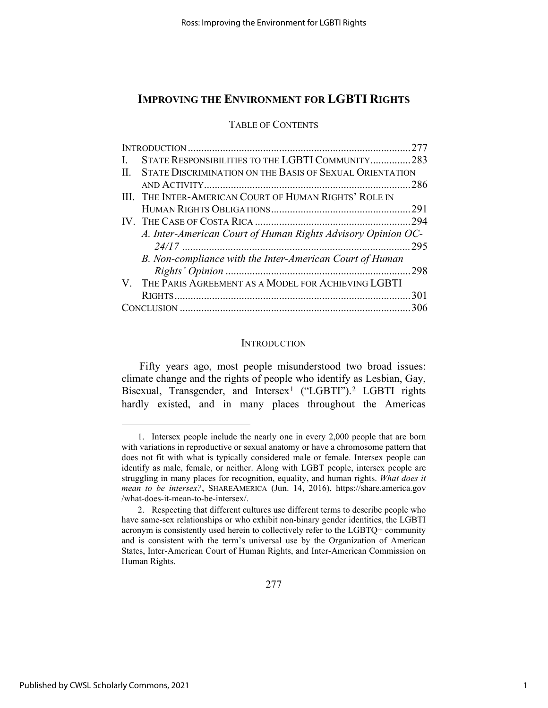TABLE OF CONTENTS

| $\mathbf{L}$ | STATE RESPONSIBILITIES TO THE LGBTI COMMUNITY283             |  |
|--------------|--------------------------------------------------------------|--|
| $\Pi$ .      | STATE DISCRIMINATION ON THE BASIS OF SEXUAL ORIENTATION      |  |
|              |                                                              |  |
|              | III. THE INTER-AMERICAN COURT OF HUMAN RIGHTS' ROLE IN       |  |
|              |                                                              |  |
|              |                                                              |  |
|              | A. Inter-American Court of Human Rights Advisory Opinion OC- |  |
|              |                                                              |  |
|              | B. Non-compliance with the Inter-American Court of Human     |  |
|              |                                                              |  |
|              | V. THE PARIS AGREEMENT AS A MODEL FOR ACHIEVING LGBTI        |  |
|              |                                                              |  |
|              |                                                              |  |

#### **INTRODUCTION**

Fifty years ago, most people misunderstood two broad issues: climate change and the rights of people who identify as Lesbian, Gay, Bisexual, Transgender, and Intersex<sup>[1](#page-0-0)</sup> ("LGBTI").<sup>[2](#page-0-1)</sup> LGBTI rights hardly existed, and in many places throughout the Americas

<span id="page-0-0"></span><sup>1.</sup> Intersex people include the nearly one in every 2,000 people that are born with variations in reproductive or sexual anatomy or have a chromosome pattern that does not fit with what is typically considered male or female. Intersex people can identify as male, female, or neither. Along with LGBT people, intersex people are struggling in many places for recognition, equality, and human rights. *What does it mean to be intersex?*, SHAREAMERICA (Jun. 14, 2016), https://share.america.gov /what-does-it-mean-to-be-intersex/.

<span id="page-0-1"></span><sup>2.</sup> Respecting that different cultures use different terms to describe people who have same-sex relationships or who exhibit non-binary gender identities, the LGBTI acronym is consistently used herein to collectively refer to the LGBTQ+ community and is consistent with the term's universal use by the Organization of American States, Inter-American Court of Human Rights, and Inter-American Commission on Human Rights.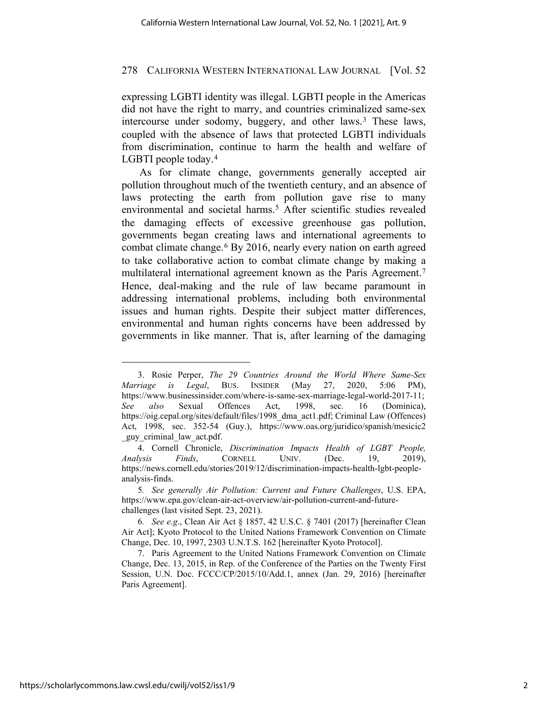expressing LGBTI identity was illegal. LGBTI people in the Americas did not have the right to marry, and countries criminalized same-sex intercourse under sodomy, buggery, and other laws.<sup>[3](#page-1-0)</sup> These laws, coupled with the absence of laws that protected LGBTI individuals from discrimination, continue to harm the health and welfare of LGBTI people today.<sup>[4](#page-1-1)</sup>

<span id="page-1-5"></span>As for climate change, governments generally accepted air pollution throughout much of the twentieth century, and an absence of laws protecting the earth from pollution gave rise to many environmental and societal harms.<sup>[5](#page-1-2)</sup> After scientific studies revealed the damaging effects of excessive greenhouse gas pollution, governments began creating laws and international agreements to combat climate change.[6](#page-1-3) By 2016, nearly every nation on earth agreed to take collaborative action to combat climate change by making a multilateral international agreement known as the Paris Agreement.[7](#page-1-4) Hence, deal-making and the rule of law became paramount in addressing international problems, including both environmental issues and human rights. Despite their subject matter differences, environmental and human rights concerns have been addressed by governments in like manner. That is, after learning of the damaging

<span id="page-1-0"></span><sup>3.</sup> Rosie Perper, *The 29 Countries Around the World Where Same-Sex Marriage is Legal*, BUS. INSIDER (May 27, 2020, 5:06 PM), https://www.businessinsider.com/where-is-same-sex-marriage-legal-world-2017-11; *See also* Sexual Offences Act, 1998, sec. 16 (Dominica), https://oig.cepal.org/sites/default/files/1998 dma\_act1.pdf; Criminal Law (Offences) Act, 1998, sec. 352-54 (Guy.), https://www.oas.org/juridico/spanish/mesicic2 \_guy\_criminal\_law\_act.pdf.

<span id="page-1-1"></span><sup>4.</sup> Cornell Chronicle, *Discrimination Impacts Health of LGBT People, Analysis Finds*, CORNELL UNIV. (Dec. 19, 2019), https://news.cornell.edu/stories/2019/12/discrimination-impacts-health-lgbt-peopleanalysis-finds.

<span id="page-1-2"></span><sup>5</sup>*. See generally Air Pollution: Current and Future Challenges*, U.S. EPA, https://www.epa.gov/clean-air-act-overview/air-pollution-current-and-futurechallenges (last visited Sept. 23, 2021).

<span id="page-1-3"></span><sup>6</sup>*. See e.g*., Clean Air Act § 1857, 42 U.S.C. § 7401 (2017) [hereinafter Clean Air Act]; Kyoto Protocol to the United Nations Framework Convention on Climate Change, Dec. 10, 1997, 2303 U.N.T.S. 162 [hereinafter Kyoto Protocol].

<span id="page-1-4"></span><sup>7.</sup> Paris Agreement to the United Nations Framework Convention on Climate Change, Dec. 13, 2015, in Rep. of the Conference of the Parties on the Twenty First Session, U.N. Doc. FCCC/CP/2015/10/Add.1, annex (Jan. 29, 2016) [hereinafter Paris Agreement].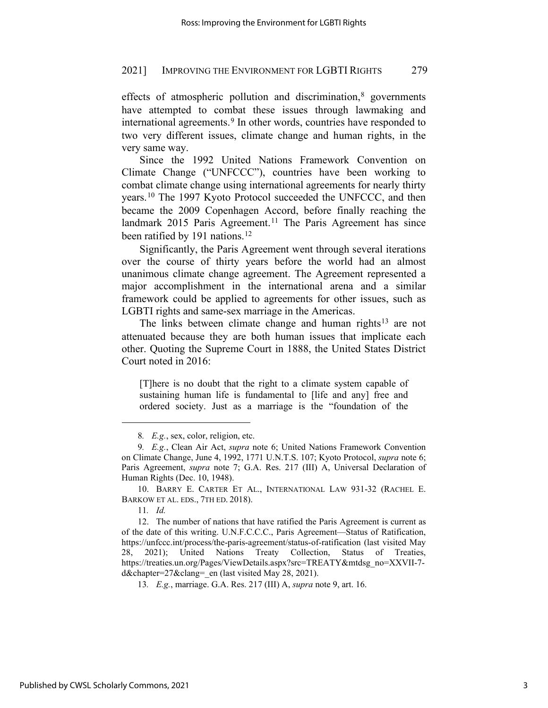effects of atmospheric pollution and discrimination,<sup>[8](#page-2-0)</sup> governments have attempted to combat these issues through lawmaking and international agreements.<sup>[9](#page-2-1)</sup> In other words, countries have responded to two very different issues, climate change and human rights, in the very same way.

Since the 1992 United Nations Framework Convention on Climate Change ("UNFCCC"), countries have been working to combat climate change using international agreements for nearly thirty years.[10](#page-2-2) The 1997 Kyoto Protocol succeeded the UNFCCC, and then became the 2009 Copenhagen Accord, before finally reaching the landmark 2015 Paris Agreement.<sup>[11](#page-2-3)</sup> The Paris Agreement has since been ratified by 191 nations.<sup>[12](#page-2-4)</sup>

Significantly, the Paris Agreement went through several iterations over the course of thirty years before the world had an almost unanimous climate change agreement. The Agreement represented a major accomplishment in the international arena and a similar framework could be applied to agreements for other issues, such as LGBTI rights and same-sex marriage in the Americas.

The links between climate change and human rights<sup>[13](#page-2-5)</sup> are not attenuated because they are both human issues that implicate each other. Quoting the Supreme Court in 1888, the United States District Court noted in 2016:

[T]here is no doubt that the right to a climate system capable of sustaining human life is fundamental to [life and any] free and ordered society. Just as a marriage is the "foundation of the

13*. E.g.*, marriage. G.A. Res. 217 (III) A, *supra* note 9, art. 16.

<sup>8</sup>*. E.g.*, sex, color, religion, etc.

<span id="page-2-1"></span><span id="page-2-0"></span><sup>9</sup>*. E.g.*, Clean Air Act, *supra* note [6;](#page-1-5) United Nations Framework Convention on Climate Change, June 4, 1992, 1771 U.N.T.S. 107; Kyoto Protocol, *supra* note 6; Paris Agreement, *supra* note 7; G.A. Res. 217 (III) A, Universal Declaration of Human Rights (Dec. 10, 1948).

<span id="page-2-2"></span><sup>10.</sup> BARRY E. CARTER ET AL., INTERNATIONAL LAW 931-32 (RACHEL E. BARKOW ET AL. EDS., 7TH ED. 2018).

<sup>11</sup>*. Id.*

<span id="page-2-5"></span><span id="page-2-4"></span><span id="page-2-3"></span><sup>12.</sup> The number of nations that have ratified the Paris Agreement is current as of the date of this writing. U.N.F.C.C.C., Paris Agreement—Status of Ratification, https://unfccc.int/process/the-paris-agreement/status-of-ratification (last visited May 28, 2021); United Nations Treaty Collection, Status of Treaties, https://treaties.un.org/Pages/ViewDetails.aspx?src=TREATY&mtdsg\_no=XXVII-7 d&chapter=27&clang= en (last visited May 28, 2021).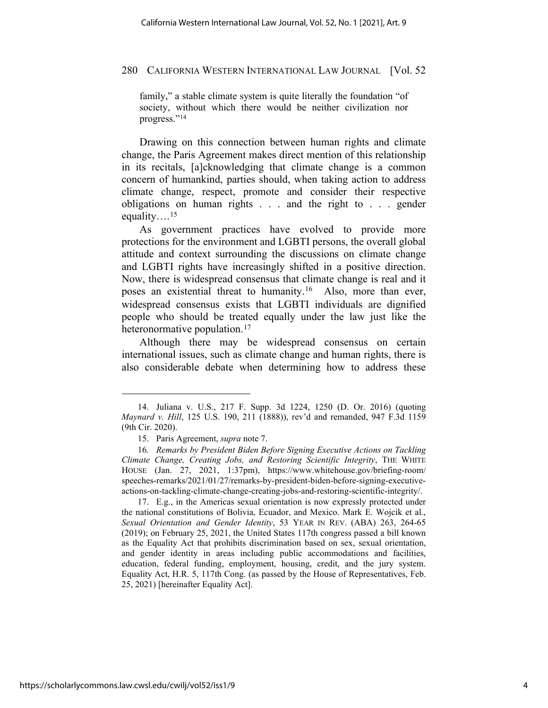family," a stable climate system is quite literally the foundation "of society, without which there would be neither civilization nor progress."[14](#page-3-0)

Drawing on this connection between human rights and climate change, the Paris Agreement makes direct mention of this relationship in its recitals, [a]cknowledging that climate change is a common concern of humankind, parties should, when taking action to address climate change, respect, promote and consider their respective obligations on human rights . . . and the right to . . . gender equality….[15](#page-3-1)

As government practices have evolved to provide more protections for the environment and LGBTI persons, the overall global attitude and context surrounding the discussions on climate change and LGBTI rights have increasingly shifted in a positive direction. Now, there is widespread consensus that climate change is real and it poses an existential threat to humanity.[16](#page-3-2) Also, more than ever, widespread consensus exists that LGBTI individuals are dignified people who should be treated equally under the law just like the heteronormative population.<sup>[17](#page-3-3)</sup>

Although there may be widespread consensus on certain international issues, such as climate change and human rights, there is also considerable debate when determining how to address these

<span id="page-3-0"></span><sup>14.</sup> Juliana v. U.S., 217 F. Supp. 3d 1224, 1250 (D. Or. 2016) (quoting *Maynard v. Hill*, 125 U.S. 190, 211 (1888)), rev'd and remanded, 947 F.3d 1159 (9th Cir. 2020).

<sup>15.</sup> Paris Agreement, *supra* note 7.

<span id="page-3-2"></span><span id="page-3-1"></span><sup>16</sup>*. Remarks by President Biden Before Signing Executive Actions on Tackling Climate Change, Creating Jobs, and Restoring Scientific Integrity*, THE WHITE HOUSE (Jan. 27, 2021, 1:37pm), https://www.whitehouse.gov/briefing-room/ speeches-remarks/2021/01/27/remarks-by-president-biden-before-signing-executiveactions-on-tackling-climate-change-creating-jobs-and-restoring-scientific-integrity/.

<span id="page-3-3"></span><sup>17.</sup> E.g., in the Americas sexual orientation is now expressly protected under the national constitutions of Bolivia, Ecuador, and Mexico. Mark E. Wojcik et al., *Sexual Orientation and Gender Identity*, 53 YEAR IN REV. (ABA) 263, 264-65 (2019); on February 25, 2021, the United States 117th congress passed a bill known as the Equality Act that prohibits discrimination based on sex, sexual orientation, and gender identity in areas including public accommodations and facilities, education, federal funding, employment, housing, credit, and the jury system. Equality Act, H.R. 5, 117th Cong. (as passed by the House of Representatives, Feb. 25, 2021) [hereinafter Equality Act].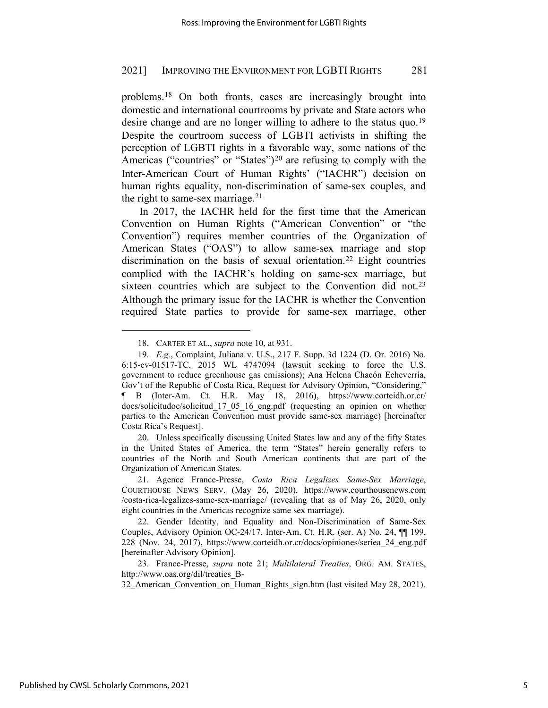problems.[18](#page-4-0) On both fronts, cases are increasingly brought into domestic and international courtrooms by private and State actors who desire change and are no longer willing to adhere to the status quo.<sup>[19](#page-4-1)</sup> Despite the courtroom success of LGBTI activists in shifting the perception of LGBTI rights in a favorable way, some nations of the Americas ("countries" or "States")<sup>[20](#page-4-2)</sup> are refusing to comply with the Inter-American Court of Human Rights' ("IACHR") decision on human rights equality, non-discrimination of same-sex couples, and the right to same-sex marriage. $21$ 

In 2017, the IACHR held for the first time that the American Convention on Human Rights ("American Convention" or "the Convention") requires member countries of the Organization of American States ("OAS") to allow same-sex marriage and stop discrimination on the basis of sexual orientation.<sup>[22](#page-4-4)</sup> Eight countries complied with the IACHR's holding on same-sex marriage, but sixteen countries which are subject to the Convention did not.<sup>[23](#page-4-5)</sup> Although the primary issue for the IACHR is whether the Convention required State parties to provide for same-sex marriage, other

<span id="page-4-2"></span>20. Unless specifically discussing United States law and any of the fifty States in the United States of America, the term "States" herein generally refers to countries of the North and South American continents that are part of the Organization of American States.

<sup>18.</sup> CARTER ET AL., *supra* note 10, at 931.

<span id="page-4-1"></span><span id="page-4-0"></span><sup>19</sup>*. E.g.*, Complaint, Juliana v. U.S., 217 F. Supp. 3d 1224 (D. Or. 2016) No. 6:15-cv-01517-TC, 2015 WL 4747094 (lawsuit seeking to force the U.S. government to reduce greenhouse gas emissions); Ana Helena Chacón Echeverría, Gov't of the Republic of Costa Rica, Request for Advisory Opinion, "Considering," ¶ B (Inter-Am. Ct. H.R. May 18, 2016), https://www.corteidh.or.cr/ docs/solicitudoc/solicitud\_17\_05\_16\_eng.pdf (requesting an opinion on whether parties to the American Convention must provide same-sex marriage) [hereinafter Costa Rica's Request].

<span id="page-4-3"></span><sup>21.</sup> Agence France-Presse, *Costa Rica Legalizes Same-Sex Marriage*, COURTHOUSE NEWS SERV. (May 26, 2020), https://www.courthousenews.com /costa-rica-legalizes-same-sex-marriage/ (revealing that as of May 26, 2020, only eight countries in the Americas recognize same sex marriage).

<span id="page-4-4"></span><sup>22.</sup> Gender Identity, and Equality and Non-Discrimination of Same-Sex Couples, Advisory Opinion OC-24/17, Inter-Am. Ct. H.R. (ser. A) No. 24, ¶¶ 199, 228 (Nov. 24, 2017), [https://www.corteidh.or.cr/docs/opiniones/seriea\\_24\\_eng.pdf](https://www.corteidh.or.cr/docs/opiniones/seriea_24%E2%80%8C_eng.pdf) [hereinafter Advisory Opinion].

<span id="page-4-5"></span><sup>23.</sup> France-Presse, *supra* note 21; *Multilateral Treaties*, ORG. AM. STATES, http://www.oas.org/dil/treaties\_B-

<sup>32</sup> American Convention on Human Rights sign.htm (last visited May 28, 2021).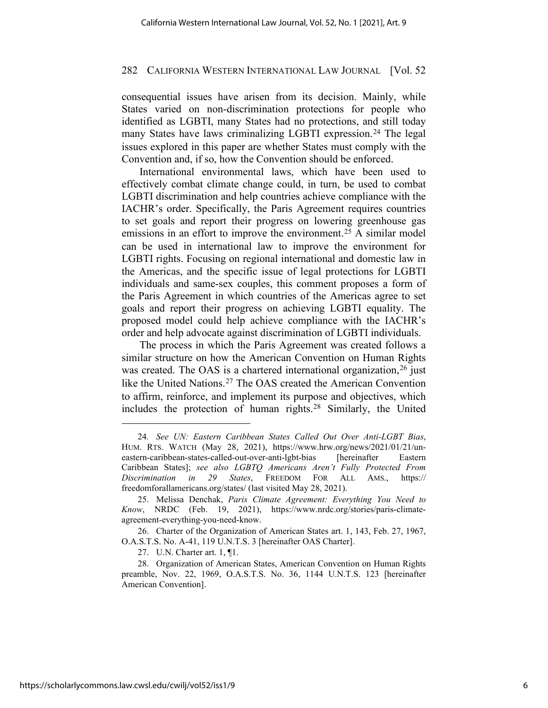consequential issues have arisen from its decision. Mainly, while States varied on non-discrimination protections for people who identified as LGBTI, many States had no protections, and still today many States have laws criminalizing LGBTI expression.<sup>[24](#page-5-0)</sup> The legal issues explored in this paper are whether States must comply with the Convention and, if so, how the Convention should be enforced.

International environmental laws, which have been used to effectively combat climate change could, in turn, be used to combat LGBTI discrimination and help countries achieve compliance with the IACHR's order. Specifically, the Paris Agreement requires countries to set goals and report their progress on lowering greenhouse gas emissions in an effort to improve the environment.<sup>[25](#page-5-1)</sup> A similar model can be used in international law to improve the environment for LGBTI rights. Focusing on regional international and domestic law in the Americas, and the specific issue of legal protections for LGBTI individuals and same-sex couples, this comment proposes a form of the Paris Agreement in which countries of the Americas agree to set goals and report their progress on achieving LGBTI equality. The proposed model could help achieve compliance with the IACHR's order and help advocate against discrimination of LGBTI individuals.

The process in which the Paris Agreement was created follows a similar structure on how the American Convention on Human Rights was created. The OAS is a chartered international organization,  $26$  just like the United Nations.<sup>[27](#page-5-3)</sup> The OAS created the American Convention to affirm, reinforce, and implement its purpose and objectives, which includes the protection of human rights.[28](#page-5-4) Similarly, the United

<span id="page-5-0"></span><sup>24</sup>*. See UN: Eastern Caribbean States Called Out Over Anti-LGBT Bias*, HUM. RTS. WATCH (May 28, 2021), https://www.hrw.org/news/2021/01/21/uneastern-caribbean-states-called-out-over-anti-lgbt-bias [hereinafter Eastern Caribbean States]; *see also LGBTQ Americans Aren't Fully Protected From Discrimination in 29 States*, FREEDOM FOR ALL AMS., https:// freedomforallamericans.org/states/ (last visited May 28, 2021).

<span id="page-5-1"></span><sup>25.</sup> Melissa Denchak, *Paris Climate Agreement: Everything You Need to Know*, NRDC (Feb. 19, 2021), https://www.nrdc.org/stories/paris-climateagreement-everything-you-need-know.

<span id="page-5-2"></span><sup>26.</sup> Charter of the Organization of American States art. 1, 143, Feb. 27, 1967, O.A.S.T.S. No. A-41, 119 U.N.T.S. 3 [hereinafter OAS Charter].

<sup>27.</sup> U.N. Charter art. 1, ¶1.

<span id="page-5-4"></span><span id="page-5-3"></span><sup>28.</sup> Organization of American States, American Convention on Human Rights preamble, Nov. 22, 1969, O.A.S.T.S. No. 36, 1144 U.N.T.S. 123 [hereinafter American Convention].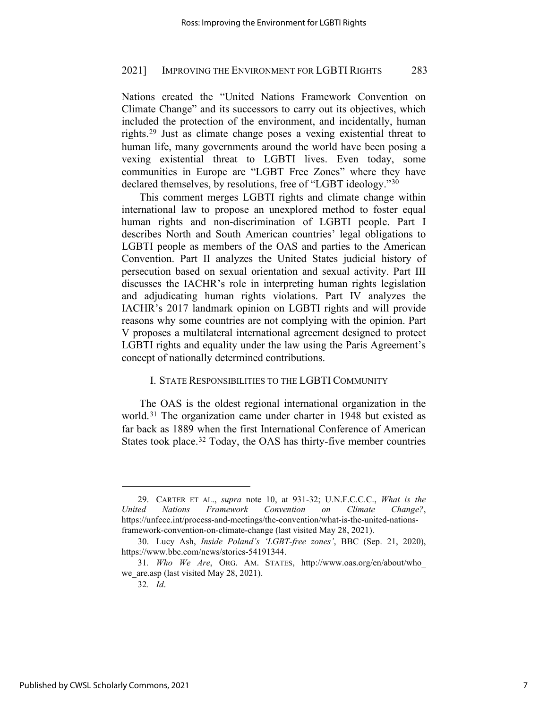Nations created the "United Nations Framework Convention on Climate Change" and its successors to carry out its objectives, which included the protection of the environment, and incidentally, human rights.[29](#page-6-0) Just as climate change poses a vexing existential threat to human life, many governments around the world have been posing a vexing existential threat to LGBTI lives. Even today, some communities in Europe are "LGBT Free Zones" where they have declared themselves, by resolutions, free of "LGBT ideology."[30](#page-6-1)

This comment merges LGBTI rights and climate change within international law to propose an unexplored method to foster equal human rights and non-discrimination of LGBTI people. Part I describes North and South American countries' legal obligations to LGBTI people as members of the OAS and parties to the American Convention. Part II analyzes the United States judicial history of persecution based on sexual orientation and sexual activity. Part III discusses the IACHR's role in interpreting human rights legislation and adjudicating human rights violations. Part IV analyzes the IACHR's 2017 landmark opinion on LGBTI rights and will provide reasons why some countries are not complying with the opinion. Part V proposes a multilateral international agreement designed to protect LGBTI rights and equality under the law using the Paris Agreement's concept of nationally determined contributions.

### I. STATE RESPONSIBILITIES TO THE LGBTI COMMUNITY

The OAS is the oldest regional international organization in the world.[31](#page-6-2) The organization came under charter in 1948 but existed as far back as 1889 when the first International Conference of American States took place.<sup>[32](#page-6-3)</sup> Today, the OAS has thirty-five member countries

<span id="page-6-0"></span><sup>29.</sup> CARTER ET AL., *supra* note 10, at 931-32; U.N.F.C.C.C., *What is the United Nations Framework Convention on Climate Change?*, https://unfccc.int/process-and-meetings/the-convention/what-is-the-united-nationsframework-convention-on-climate-change (last visited May 28, 2021).

<span id="page-6-1"></span><sup>30.</sup> Lucy Ash, *Inside Poland's 'LGBT-free zones'*, BBC (Sep. 21, 2020), https://www.bbc.com/news/stories-54191344.

<span id="page-6-3"></span><span id="page-6-2"></span><sup>31</sup>*. Who We Are*, ORG. AM. STATES, http://www.oas.org/en/about/who\_ we are.asp (last visited May 28, 2021).

<sup>32</sup>*. Id*.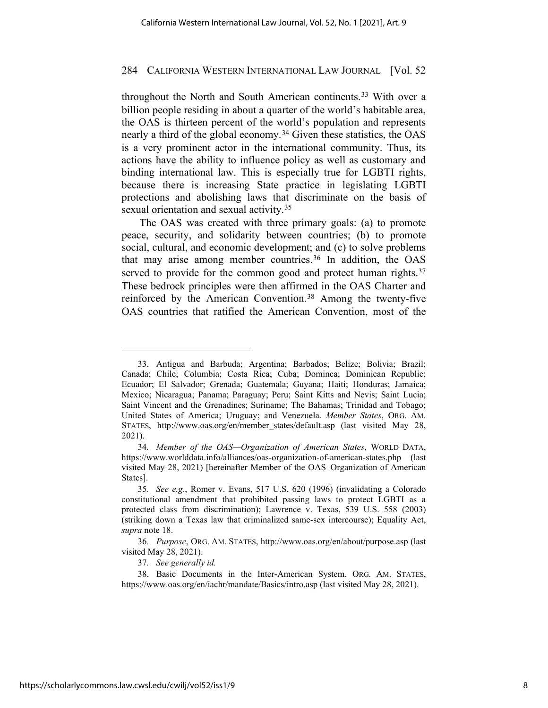throughout the North and South American continents.<sup>[33](#page-7-0)</sup> With over a billion people residing in about a quarter of the world's habitable area, the OAS is thirteen percent of the world's population and represents nearly a third of the global economy.[34](#page-7-1) Given these statistics, the OAS is a very prominent actor in the international community. Thus, its actions have the ability to influence policy as well as customary and binding international law. This is especially true for LGBTI rights, because there is increasing State practice in legislating LGBTI protections and abolishing laws that discriminate on the basis of sexual orientation and sexual activity.<sup>[35](#page-7-2)</sup>

The OAS was created with three primary goals: (a) to promote peace, security, and solidarity between countries; (b) to promote social, cultural, and economic development; and (c) to solve problems that may arise among member countries.<sup>[36](#page-7-3)</sup> In addition, the OAS served to provide for the common good and protect human rights.<sup>[37](#page-7-4)</sup> These bedrock principles were then affirmed in the OAS Charter and reinforced by the American Convention.[38](#page-7-5) Among the twenty-five OAS countries that ratified the American Convention, most of the

37*. See generally id.*

<span id="page-7-0"></span><sup>33.</sup> Antigua and Barbuda; Argentina; Barbados; Belize; Bolivia; Brazil; Canada; Chile; Columbia; Costa Rica; Cuba; Dominca; Dominican Republic; Ecuador; El Salvador; Grenada; Guatemala; Guyana; Haiti; Honduras; Jamaica; Mexico; Nicaragua; Panama; Paraguay; Peru; Saint Kitts and Nevis; Saint Lucia; Saint Vincent and the Grenadines; Suriname; The Bahamas; Trinidad and Tobago; United States of America; Uruguay; and Venezuela. *Member States*, ORG. AM. STATES, http://www.oas.org/en/member\_states/default.asp (last visited May 28, 2021).

<span id="page-7-1"></span><sup>34</sup>*. Member of the OAS—Organization of American States*, WORLD DATA, https://www.worlddata.info/alliances/oas-organization-of-american-states.php (last visited May 28, 2021) [hereinafter Member of the OAS–Organization of American States].

<span id="page-7-2"></span><sup>35</sup>*. See e.g*., Romer v. Evans, 517 U.S. 620 (1996) (invalidating a Colorado constitutional amendment that prohibited passing laws to protect LGBTI as a protected class from discrimination); Lawrence v. Texas, 539 U.S. 558 (2003) (striking down a Texas law that criminalized same-sex intercourse); Equality Act, *supra* note 18.

<span id="page-7-3"></span><sup>36</sup>*. Purpose*, ORG. AM. STATES, http://www.oas.org/en/about/purpose.asp (last visited May 28, 2021).

<span id="page-7-5"></span><span id="page-7-4"></span><sup>38.</sup> Basic Documents in the Inter-American System, ORG. AM. STATES, https://www.oas.org/en/iachr/mandate/Basics/intro.asp (last visited May 28, 2021).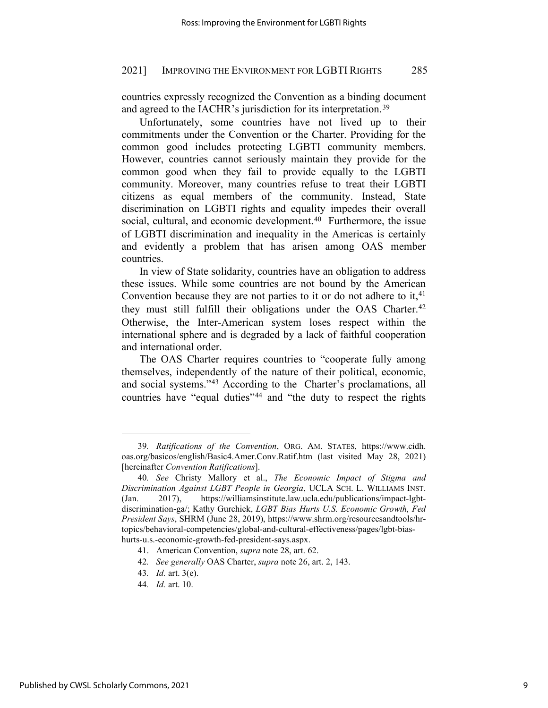countries expressly recognized the Convention as a binding document and agreed to the IACHR's jurisdiction for its interpretation.<sup>[39](#page-8-0)</sup>

Unfortunately, some countries have not lived up to their commitments under the Convention or the Charter. Providing for the common good includes protecting LGBTI community members. However, countries cannot seriously maintain they provide for the common good when they fail to provide equally to the LGBTI community. Moreover, many countries refuse to treat their LGBTI citizens as equal members of the community. Instead, State discrimination on LGBTI rights and equality impedes their overall social, cultural, and economic development.<sup>[40](#page-8-1)</sup> Furthermore, the issue of LGBTI discrimination and inequality in the Americas is certainly and evidently a problem that has arisen among OAS member countries.

In view of State solidarity, countries have an obligation to address these issues. While some countries are not bound by the American Convention because they are not parties to it or do not adhere to it,  $41$ they must still fulfill their obligations under the OAS Charter.<sup>[42](#page-8-3)</sup> Otherwise, the Inter-American system loses respect within the international sphere and is degraded by a lack of faithful cooperation and international order.

The OAS Charter requires countries to "cooperate fully among themselves, independently of the nature of their political, economic, and social systems."[43](#page-8-4) According to the Charter's proclamations, all countries have "equal duties"[44](#page-8-5) and "the duty to respect the rights

<span id="page-8-0"></span><sup>39</sup>*. Ratifications of the Convention*, ORG. AM. STATES, https://www.cidh. oas.org/basicos/english/Basic4.Amer.Conv.Ratif.htm (last visited May 28, 2021) [hereinafter *Convention Ratifications*].

<span id="page-8-1"></span><sup>40</sup>*. See* Christy Mallory et al., *The Economic Impact of Stigma and Discrimination Against LGBT People in Georgia*, UCLA SCH. L. WILLIAMS INST. (Jan. 2017), https://williamsinstitute.law.ucla.edu/publications/impact-lgbtdiscrimination-ga/; Kathy Gurchiek, *LGBT Bias Hurts U.S. Economic Growth, Fed President Says*, SHRM (June 28, 2019), https://www.shrm.org/resourcesandtools/hrtopics/behavioral-competencies/global-and-cultural-effectiveness/pages/lgbt-biashurts-u.s.-economic-growth-fed-president-says.aspx.

<span id="page-8-2"></span><sup>41.</sup> American Convention, *supra* note 28, art. 62.

<span id="page-8-3"></span><sup>42</sup>*. See generally* OAS Charter, *supra* note 26, art. 2, 143.

<span id="page-8-5"></span><span id="page-8-4"></span><sup>43</sup>*. Id.* art. 3(e).

<sup>44</sup>*. Id.* art. 10.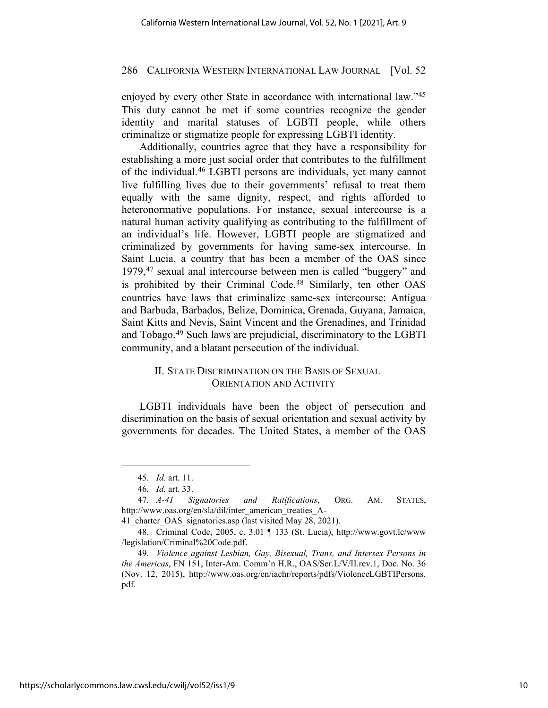enjoyed by every other State in accordance with international law."[45](#page-9-0) This duty cannot be met if some countries recognize the gender identity and marital statuses of LGBTI people, while others criminalize or stigmatize people for expressing LGBTI identity.

Additionally, countries agree that they have a responsibility for establishing a more just social order that contributes to the fulfillment of the individual.[46](#page-9-1) LGBTI persons are individuals, yet many cannot live fulfilling lives due to their governments' refusal to treat them equally with the same dignity, respect, and rights afforded to heteronormative populations. For instance, sexual intercourse is a natural human activity qualifying as contributing to the fulfillment of an individual's life. However, LGBTI people are stigmatized and criminalized by governments for having same-sex intercourse. In Saint Lucia, a country that has been a member of the OAS since 1979,[47](#page-9-2) sexual anal intercourse between men is called "buggery" and is prohibited by their Criminal Code.[48](#page-9-3) Similarly, ten other OAS countries have laws that criminalize same-sex intercourse: Antigua and Barbuda, Barbados, Belize, Dominica, Grenada, Guyana, Jamaica, Saint Kitts and Nevis, Saint Vincent and the Grenadines, and Trinidad and Tobago.[49](#page-9-4) Such laws are prejudicial, discriminatory to the LGBTI community, and a blatant persecution of the individual.

# II. STATE DISCRIMINATION ON THE BASIS OF SEXUAL ORIENTATION AND ACTIVITY

LGBTI individuals have been the object of persecution and discrimination on the basis of sexual orientation and sexual activity by governments for decades. The United States, a member of the OAS

<sup>45</sup>*. Id.* art. 11.

<sup>46</sup>*. Id.* art. 33.

<span id="page-9-2"></span><span id="page-9-1"></span><span id="page-9-0"></span><sup>47</sup>*. A-41 Signatories and Ratifications*, ORG. AM. STATES, http://www.oas.org/en/sla/dil/inter\_american\_treaties\_A-

<sup>41</sup> charter OAS signatories.asp (last visited May 28, 2021).

<span id="page-9-3"></span><sup>48.</sup> Criminal Code, 2005, c. 3.01 ¶ 133 (St. Lucia), http://www.govt.lc/www /legislation/Criminal%20Code.pdf.

<span id="page-9-4"></span><sup>49</sup>*. Violence against Lesbian, Gay, Bisexual, Trans, and Intersex Persons in the Americas*, FN 151, Inter-Am. Comm'n H.R., OAS/Ser.L/V/II.rev.1, Doc. No. 36 (Nov. 12, 2015), http://www.oas.org/en/iachr/reports/pdfs/ViolenceLGBTIPersons. pdf.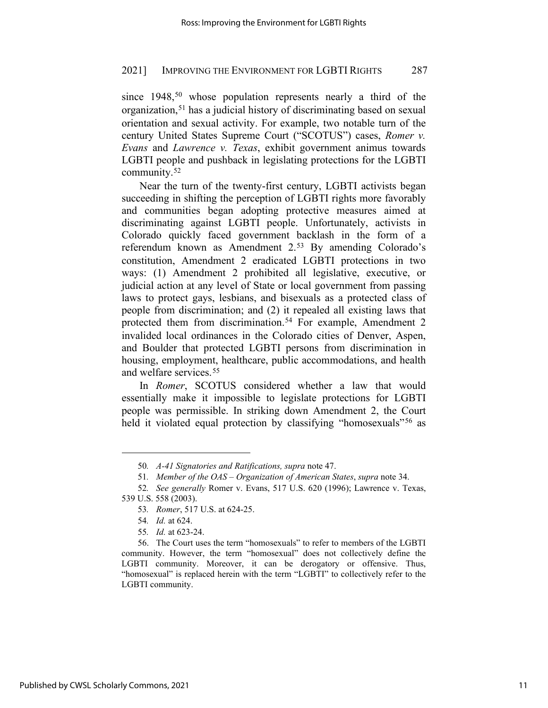since 1948,<sup>[50](#page-10-0)</sup> whose population represents nearly a third of the organization,[51](#page-10-1) has a judicial history of discriminating based on sexual orientation and sexual activity. For example, two notable turn of the century United States Supreme Court ("SCOTUS") cases, *Romer v. Evans* and *Lawrence v. Texas*, exhibit government animus towards LGBTI people and pushback in legislating protections for the LGBTI community.[52](#page-10-2)

Near the turn of the twenty-first century, LGBTI activists began succeeding in shifting the perception of LGBTI rights more favorably and communities began adopting protective measures aimed at discriminating against LGBTI people. Unfortunately, activists in Colorado quickly faced government backlash in the form of a referendum known as Amendment 2.[53](#page-10-3) By amending Colorado's constitution, Amendment 2 eradicated LGBTI protections in two ways: (1) Amendment 2 prohibited all legislative, executive, or judicial action at any level of State or local government from passing laws to protect gays, lesbians, and bisexuals as a protected class of people from discrimination; and (2) it repealed all existing laws that protected them from discrimination.<sup>[54](#page-10-4)</sup> For example, Amendment 2 invalided local ordinances in the Colorado cities of Denver, Aspen, and Boulder that protected LGBTI persons from discrimination in housing, employment, healthcare, public accommodations, and health and welfare services.[55](#page-10-5) 

In *Romer*, SCOTUS considered whether a law that would essentially make it impossible to legislate protections for LGBTI people was permissible. In striking down Amendment 2, the Court held it violated equal protection by classifying "homosexuals"<sup>[56](#page-10-6)</sup> as

<sup>50</sup>*. A-41 Signatories and Ratifications, supra* note 47.

<sup>51</sup>*. Member of the OAS – Organization of American States*, *supra* note 34.

<span id="page-10-3"></span><span id="page-10-2"></span><span id="page-10-1"></span><span id="page-10-0"></span><sup>52</sup>*. See generally* Romer v. Evans, 517 U.S. 620 (1996); Lawrence v. Texas, 539 U.S. 558 (2003).

<sup>53</sup>*. Romer*, 517 U.S. at 624-25.

<sup>54</sup>*. Id.* at 624.

<sup>55</sup>*. Id.* at 623-24.

<span id="page-10-6"></span><span id="page-10-5"></span><span id="page-10-4"></span><sup>56.</sup> The Court uses the term "homosexuals" to refer to members of the LGBTI community. However, the term "homosexual" does not collectively define the LGBTI community. Moreover, it can be derogatory or offensive. Thus, "homosexual" is replaced herein with the term "LGBTI" to collectively refer to the LGBTI community.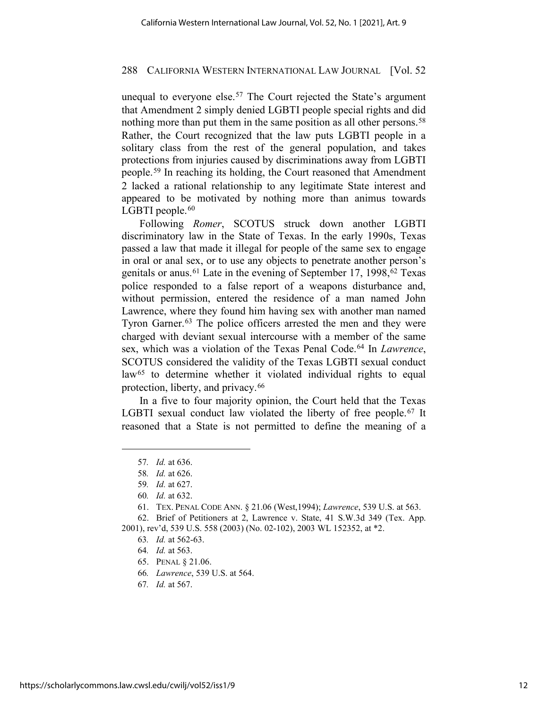unequal to everyone else.<sup>[57](#page-11-0)</sup> The Court rejected the State's argument that Amendment 2 simply denied LGBTI people special rights and did nothing more than put them in the same position as all other persons.<sup>[58](#page-11-1)</sup> Rather, the Court recognized that the law puts LGBTI people in a solitary class from the rest of the general population, and takes protections from injuries caused by discriminations away from LGBTI people.[59](#page-11-2) In reaching its holding, the Court reasoned that Amendment 2 lacked a rational relationship to any legitimate State interest and appeared to be motivated by nothing more than animus towards LGBTI people. $60$ 

Following *Romer*, SCOTUS struck down another LGBTI discriminatory law in the State of Texas. In the early 1990s, Texas passed a law that made it illegal for people of the same sex to engage in oral or anal sex, or to use any objects to penetrate another person's genitals or anus.<sup>[61](#page-11-4)</sup> Late in the evening of September 17, 1998,<sup>[62](#page-11-5)</sup> Texas police responded to a false report of a weapons disturbance and, without permission, entered the residence of a man named John Lawrence, where they found him having sex with another man named Tyron Garner.<sup>[63](#page-11-6)</sup> The police officers arrested the men and they were charged with deviant sexual intercourse with a member of the same sex, which was a violation of the Texas Penal Code.[64](#page-11-7) In *Lawrence*, SCOTUS considered the validity of the Texas LGBTI sexual conduct law<sup>[65](#page-11-8)</sup> to determine whether it violated individual rights to equal protection, liberty, and privacy.<sup>66</sup>

<span id="page-11-0"></span>In a five to four majority opinion, the Court held that the Texas LGBTI sexual conduct law violated the liberty of free people.<sup>[67](#page-11-10)</sup> It reasoned that a State is not permitted to define the meaning of a

64*. Id.* at 563.

<sup>57</sup>*. Id.* at 636.

<sup>58</sup>*. Id.* at 626.

<sup>59</sup>*. Id.* at 627.

<sup>60</sup>*. Id.* at 632.

<sup>61.</sup> TEX. PENAL CODE ANN. § 21.06 (West,1994); *Lawrence*, 539 U.S. at 563.

<sup>62.</sup> Brief of Petitioners at 2, Lawrence v. State, 41 S.W.3d 349 (Tex. App.

<span id="page-11-10"></span><span id="page-11-9"></span><span id="page-11-8"></span><span id="page-11-7"></span><span id="page-11-6"></span><span id="page-11-5"></span><span id="page-11-4"></span><span id="page-11-3"></span><span id="page-11-2"></span><span id="page-11-1"></span><sup>2001),</sup> rev'd, 539 U.S. 558 (2003) (No. 02-102), 2003 WL 152352, at \*2.

<sup>63</sup>*. Id.* at 562-63.

<sup>65.</sup> PENAL § 21.06.

<sup>66</sup>*. Lawrence*, 539 U.S. at 564.

<sup>67</sup>*. Id.* at 567.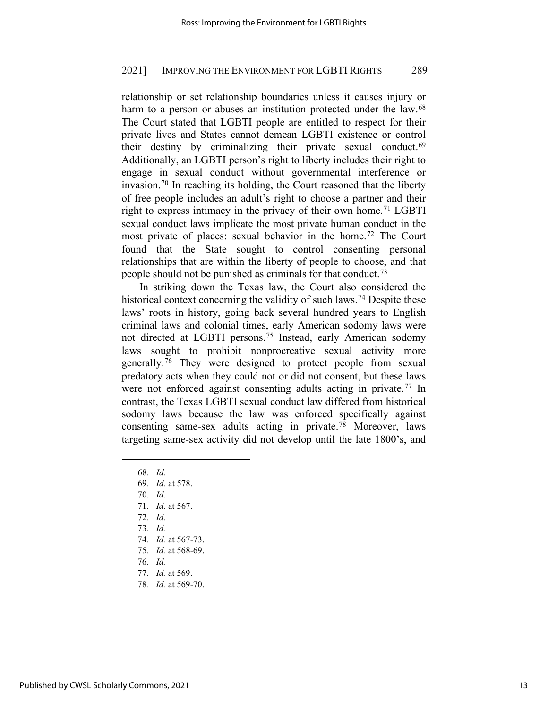relationship or set relationship boundaries unless it causes injury or harm to a person or abuses an institution protected under the law.<sup>[68](#page-12-0)</sup> The Court stated that LGBTI people are entitled to respect for their private lives and States cannot demean LGBTI existence or control their destiny by criminalizing their private sexual conduct.[69](#page-12-1) Additionally, an LGBTI person's right to liberty includes their right to engage in sexual conduct without governmental interference or invasion.[70](#page-12-2) In reaching its holding, the Court reasoned that the liberty of free people includes an adult's right to choose a partner and their right to express intimacy in the privacy of their own home.[71](#page-12-3) LGBTI sexual conduct laws implicate the most private human conduct in the most private of places: sexual behavior in the home.[72](#page-12-4) The Court found that the State sought to control consenting personal relationships that are within the liberty of people to choose, and that people should not be punished as criminals for that conduct.[73](#page-12-5)

In striking down the Texas law, the Court also considered the historical context concerning the validity of such laws.<sup>[74](#page-12-6)</sup> Despite these laws' roots in history, going back several hundred years to English criminal laws and colonial times, early American sodomy laws were not directed at LGBTI persons.[75](#page-12-7) Instead, early American sodomy laws sought to prohibit nonprocreative sexual activity more generally.[76](#page-12-8) They were designed to protect people from sexual predatory acts when they could not or did not consent, but these laws were not enforced against consenting adults acting in private.<sup>[77](#page-12-9)</sup> In contrast, the Texas LGBTI sexual conduct law differed from historical sodomy laws because the law was enforced specifically against consenting same-sex adults acting in private.[78](#page-12-10) Moreover, laws targeting same-sex activity did not develop until the late 1800's, and

- <span id="page-12-0"></span>68*. Id.*
- 69*. Id.* at 578.
- <span id="page-12-4"></span><span id="page-12-3"></span><span id="page-12-2"></span><span id="page-12-1"></span>70*. Id.*
- 71*. Id.* at 567.
- 72*. Id.*
- <span id="page-12-5"></span>73*. Id.*
- 74*. Id.* at 567-73.
- <span id="page-12-6"></span>75*. Id.* at 568-69.
- 76*. Id.*
- <span id="page-12-9"></span><span id="page-12-8"></span><span id="page-12-7"></span>77*. Id.* at 569.
- <span id="page-12-10"></span>78*. Id.* at 569-70.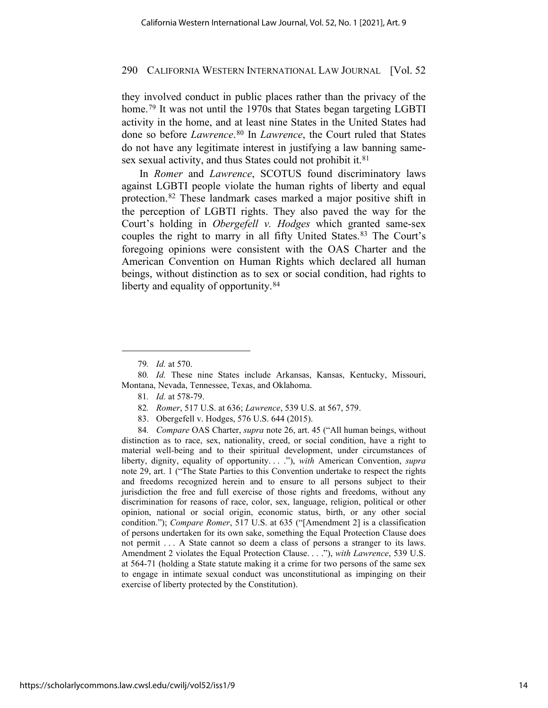they involved conduct in public places rather than the privacy of the home.<sup>[79](#page-13-0)</sup> It was not until the 1970s that States began targeting LGBTI activity in the home, and at least nine States in the United States had done so before *Lawrence*.[80](#page-13-1) In *Lawrence*, the Court ruled that States do not have any legitimate interest in justifying a law banning same-sex sexual activity, and thus States could not prohibit it.<sup>[81](#page-13-2)</sup>

In *Romer* and *Lawrence*, SCOTUS found discriminatory laws against LGBTI people violate the human rights of liberty and equal protection.[82](#page-13-3) These landmark cases marked a major positive shift in the perception of LGBTI rights. They also paved the way for the Court's holding in *Obergefell v. Hodges* which granted same-sex couples the right to marry in all fifty United States.<sup>[83](#page-13-4)</sup> The Court's foregoing opinions were consistent with the OAS Charter and the American Convention on Human Rights which declared all human beings, without distinction as to sex or social condition, had rights to liberty and equality of opportunity.<sup>[84](#page-13-5)</sup>

- 82*. Romer*, 517 U.S. at 636; *Lawrence*, 539 U.S. at 567, 579.
- 83. Obergefell v. Hodges, 576 U.S. 644 (2015).

<span id="page-13-5"></span><span id="page-13-4"></span><span id="page-13-3"></span>84*. Compare* OAS Charter, *supra* note 26, art. 45 ("All human beings, without distinction as to race, sex, nationality, creed, or social condition, have a right to material well-being and to their spiritual development, under circumstances of liberty, dignity, equality of opportunity. . . ."), *with* American Convention, *supra* note 29, art. 1 ("The State Parties to this Convention undertake to respect the rights and freedoms recognized herein and to ensure to all persons subject to their jurisdiction the free and full exercise of those rights and freedoms, without any discrimination for reasons of race, color, sex, language, religion, political or other opinion, national or social origin, economic status, birth, or any other social condition."); *Compare Romer*, 517 U.S. at 635 ("[Amendment 2] is a classification of persons undertaken for its own sake, something the Equal Protection Clause does not permit . . . A State cannot so deem a class of persons a stranger to its laws. Amendment 2 violates the Equal Protection Clause. . . ."), *with Lawrence*, 539 U.S. at 564-71 (holding a State statute making it a crime for two persons of the same sex to engage in intimate sexual conduct was unconstitutional as impinging on their exercise of liberty protected by the Constitution).

<sup>79</sup>*. Id.* at 570.

<span id="page-13-2"></span><span id="page-13-1"></span><span id="page-13-0"></span><sup>80</sup>*. Id.* These nine States include Arkansas, Kansas, Kentucky, Missouri, Montana, Nevada, Tennessee, Texas, and Oklahoma.

<sup>81</sup>*. Id.* at 578-79.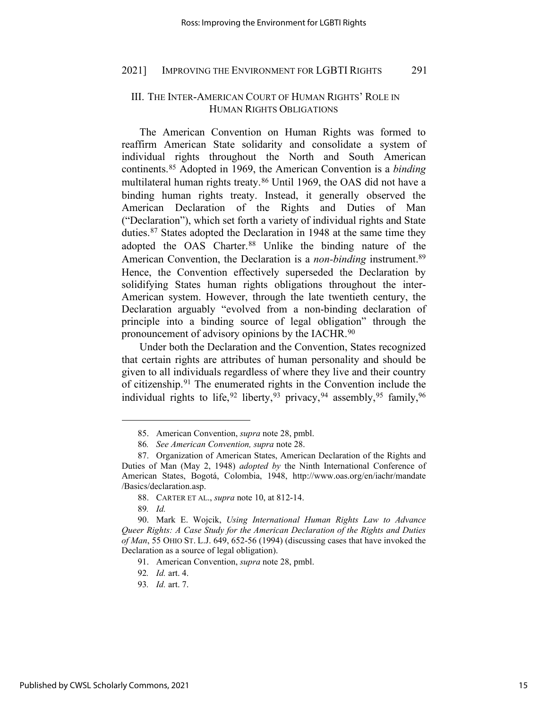# III. THE INTER-AMERICAN COURT OF HUMAN RIGHTS' ROLE IN HUMAN RIGHTS OBLIGATIONS

The American Convention on Human Rights was formed to reaffirm American State solidarity and consolidate a system of individual rights throughout the North and South American continents.[85](#page-14-0) Adopted in 1969, the American Convention is a *binding* multilateral human rights treaty.[86](#page-14-1) Until 1969, the OAS did not have a binding human rights treaty. Instead, it generally observed the American Declaration of the Rights and Duties of Man ("Declaration"), which set forth a variety of individual rights and State duties.[87](#page-14-2) States adopted the Declaration in 1948 at the same time they adopted the OAS Charter.[88](#page-14-3) Unlike the binding nature of the American Convention, the Declaration is a *non-binding* instrument.<sup>[89](#page-14-4)</sup> Hence, the Convention effectively superseded the Declaration by solidifying States human rights obligations throughout the inter-American system. However, through the late twentieth century, the Declaration arguably "evolved from a non-binding declaration of principle into a binding source of legal obligation" through the pronouncement of advisory opinions by the IACHR.<sup>[90](#page-14-5)</sup>

Under both the Declaration and the Convention, States recognized that certain rights are attributes of human personality and should be given to all individuals regardless of where they live and their country of citizenship.[91](#page-14-6) The enumerated rights in the Convention include the individual rights to life,  $92$  liberty,  $93$  privacy,  $94$  assembly,  $95$  family,  $96$ 

<sup>85.</sup> American Convention, *supra* note 28, pmbl.

<sup>86</sup>*. See American Convention, supra* note 28.

<span id="page-14-11"></span><span id="page-14-10"></span><span id="page-14-9"></span><span id="page-14-2"></span><span id="page-14-1"></span><span id="page-14-0"></span><sup>87.</sup> Organization of American States, American Declaration of the Rights and Duties of Man (May 2, 1948) *adopted by* the Ninth International Conference of American States, Bogotá, Colombia, 1948, http://www.oas.org/en/iachr/mandate /Basics/declaration.asp.

<sup>88.</sup> CARTER ET AL., *supra* note 10, at 812-14.

<sup>89</sup>*. Id.*

<span id="page-14-7"></span><span id="page-14-6"></span><span id="page-14-5"></span><span id="page-14-4"></span><span id="page-14-3"></span><sup>90.</sup> Mark E. Wojcik, *Using International Human Rights Law to Advance Queer Rights: A Case Study for the American Declaration of the Rights and Duties of Man*, 55 OHIO ST. L.J. 649, 652-56 (1994) (discussing cases that have invoked the Declaration as a source of legal obligation).

<sup>91.</sup> American Convention, *supra* note 28, pmbl.

<span id="page-14-8"></span><sup>92</sup>*. Id.* art. 4.

<sup>93</sup>*. Id.* art. 7.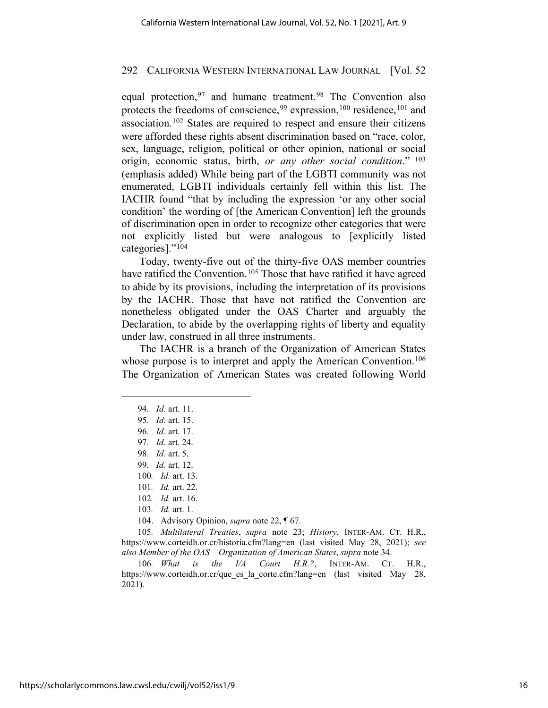equal protection, <sup>[97](#page-15-0)</sup> and humane treatment. <sup>[98](#page-15-1)</sup> The Convention also protects the freedoms of conscience,  $99$  expression,  $100$  residence,  $101$  and association.[102](#page-15-5) States are required to respect and ensure their citizens were afforded these rights absent discrimination based on "race, color, sex, language, religion, political or other opinion, national or social origin, economic status, birth, *or any other social condition*." [103](#page-15-6) (emphasis added) While being part of the LGBTI community was not enumerated, LGBTI individuals certainly fell within this list. The IACHR found "that by including the expression 'or any other social condition' the wording of [the American Convention] left the grounds of discrimination open in order to recognize other categories that were not explicitly listed but were analogous to [explicitly listed categories]."[104](#page-15-7)

Today, twenty-five out of the thirty-five OAS member countries have ratified the Convention.<sup>[105](#page-15-8)</sup> Those that have ratified it have agreed to abide by its provisions, including the interpretation of its provisions by the IACHR. Those that have not ratified the Convention are nonetheless obligated under the OAS Charter and arguably the Declaration, to abide by the overlapping rights of liberty and equality under law, construed in all three instruments.

The IACHR is a branch of the Organization of American States whose purpose is to interpret and apply the American Convention.<sup>[106](#page-15-9)</sup> The Organization of American States was created following World

<sup>94</sup>*. Id.* art. 11.

<sup>95</sup>*. Id.* art. 15.

<span id="page-15-0"></span><sup>96</sup>*. Id.* art. 17.

<sup>97</sup>*. Id.* art. 24.

<span id="page-15-2"></span><span id="page-15-1"></span><sup>98</sup>*. Id.* art. 5.

<sup>99</sup>*. Id.* art. 12.

<sup>100</sup>*. Id.* art. 13.

<sup>101</sup>*. Id.* art. 22.

<sup>102</sup>*. Id.* art. 16.

<sup>103</sup>*. Id.* art. 1.

<sup>104.</sup> Advisory Opinion, *supra* note 22, ¶ 67.

<span id="page-15-8"></span><span id="page-15-7"></span><span id="page-15-6"></span><span id="page-15-5"></span><span id="page-15-4"></span><span id="page-15-3"></span><sup>105</sup>*. Multilateral Treaties*, *supra* note 23; *History*, INTER-AM. CT. H.R., https://www.corteidh.or.cr/historia.cfm?lang=en (last visited May 28, 2021); *see also Member of the OAS – Organization of American States*, *supra* note 34.

<span id="page-15-9"></span><sup>106</sup>*. What is the I/A Court H.R.?*, INTER-AM. CT. H.R., https://www.corteidh.or.cr/que es la corte.cfm?lang=en (last visited May 28, 2021).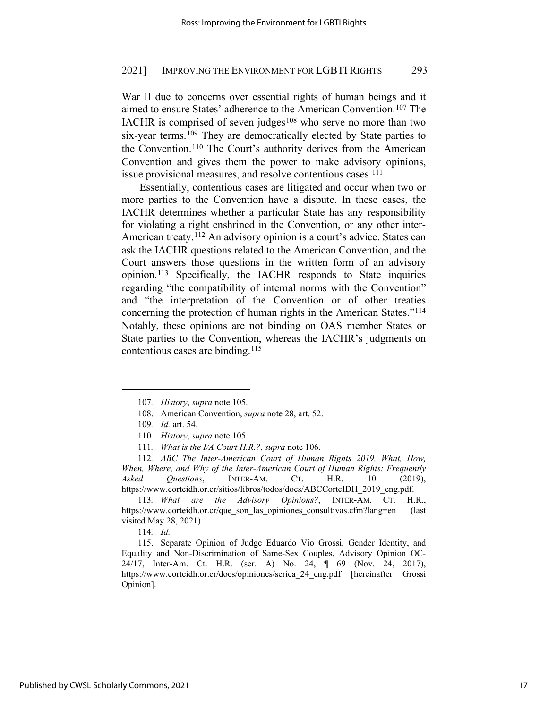War II due to concerns over essential rights of human beings and it aimed to ensure States' adherence to the American Convention.[107](#page-16-0) The IACHR is comprised of seven judges<sup>[108](#page-16-1)</sup> who serve no more than two six-year terms.<sup>[109](#page-16-2)</sup> They are democratically elected by State parties to the Convention.[110](#page-16-3) The Court's authority derives from the American Convention and gives them the power to make advisory opinions, issue provisional measures, and resolve contentious cases.<sup>[111](#page-16-4)</sup>

Essentially, contentious cases are litigated and occur when two or more parties to the Convention have a dispute. In these cases, the IACHR determines whether a particular State has any responsibility for violating a right enshrined in the Convention, or any other inter-American treaty.<sup>[112](#page-16-5)</sup> An advisory opinion is a court's advice. States can ask the IACHR questions related to the American Convention, and the Court answers those questions in the written form of an advisory opinion.[113](#page-16-6) Specifically, the IACHR responds to State inquiries regarding "the compatibility of internal norms with the Convention" and "the interpretation of the Convention or of other treaties concerning the protection of human rights in the American States."[114](#page-16-7)  Notably, these opinions are not binding on OAS member States or State parties to the Convention, whereas the IACHR's judgments on contentious cases are binding.<sup>[115](#page-16-8)</sup>

<span id="page-16-5"></span><span id="page-16-4"></span><span id="page-16-3"></span><span id="page-16-2"></span><span id="page-16-1"></span><span id="page-16-0"></span>112*. ABC The Inter-American Court of Human Rights 2019, What, How, When, Where, and Why of the Inter-American Court of Human Rights: Frequently Asked Questions*, INTER-AM. CT. H.R. 10 (2019), https://www.corteidh.or.cr/sitios/libros/todos/docs/ABCCorteIDH\_2019\_eng.pdf.

<span id="page-16-6"></span>113*. What are the Advisory Opinions?*, INTER-AM. CT. H.R., https://www.corteidh.or.cr/que\_son\_las\_opiniones\_consultivas.cfm?lang=en (last visited May 28, 2021).

114*. Id.*

<span id="page-16-8"></span><span id="page-16-7"></span>115. Separate Opinion of Judge Eduardo Vio Grossi, Gender Identity, and Equality and Non-Discrimination of Same-Sex Couples, Advisory Opinion OC-24/17, Inter-Am. Ct. H.R. (ser. A) No. 24, ¶ 69 (Nov. 24, 2017), [https://www.corteidh.or.cr/docs/opiniones/seriea\\_24\\_eng.pdf](https://www.corteidh.or.cr/docs/opiniones/seriea_24_eng.pdf)\_[hereinafter Grossi Opinion].

<sup>107</sup>*. History*, *supra* note 105.

<sup>108.</sup> American Convention, *supra* note 28, art. 52.

<sup>109</sup>*. Id.* art. 54.

<sup>110</sup>*. History*, *supra* note 105.

<sup>111</sup>*. What is the I/A Court H.R.?*, *supra* note 106.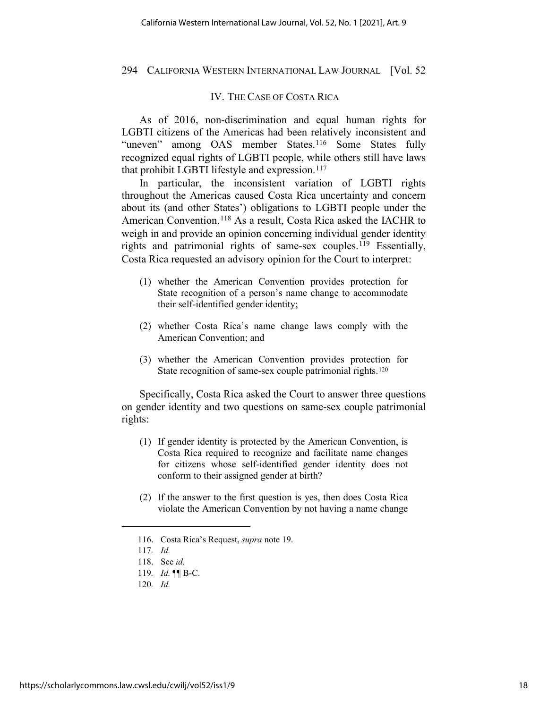# IV. THE CASE OF COSTA RICA

As of 2016, non-discrimination and equal human rights for LGBTI citizens of the Americas had been relatively inconsistent and "uneven" among OAS member States.<sup>[116](#page-17-0)</sup> Some States fully recognized equal rights of LGBTI people, while others still have laws that prohibit LGBTI lifestyle and expression.<sup>[117](#page-17-1)</sup>

In particular, the inconsistent variation of LGBTI rights throughout the Americas caused Costa Rica uncertainty and concern about its (and other States') obligations to LGBTI people under the American Convention.[118](#page-17-2) As a result, Costa Rica asked the IACHR to weigh in and provide an opinion concerning individual gender identity rights and patrimonial rights of same-sex couples.[119](#page-17-3) Essentially, Costa Rica requested an advisory opinion for the Court to interpret:

- (1) whether the American Convention provides protection for State recognition of a person's name change to accommodate their self-identified gender identity;
- (2) whether Costa Rica's name change laws comply with the American Convention; and
- (3) whether the American Convention provides protection for State recognition of same-sex couple patrimonial rights.<sup>[120](#page-17-4)</sup>

Specifically, Costa Rica asked the Court to answer three questions on gender identity and two questions on same-sex couple patrimonial rights:

- (1) If gender identity is protected by the American Convention, is Costa Rica required to recognize and facilitate name changes for citizens whose self-identified gender identity does not conform to their assigned gender at birth?
- (2) If the answer to the first question is yes, then does Costa Rica violate the American Convention by not having a name change

120*. Id.*

<sup>116.</sup> Costa Rica's Request, *supra* note 19.

<span id="page-17-1"></span><span id="page-17-0"></span><sup>117</sup>*. Id.*

<sup>118.</sup> See *id.*

<span id="page-17-4"></span><span id="page-17-3"></span><span id="page-17-2"></span><sup>119</sup>*. Id.* ¶¶ B-C.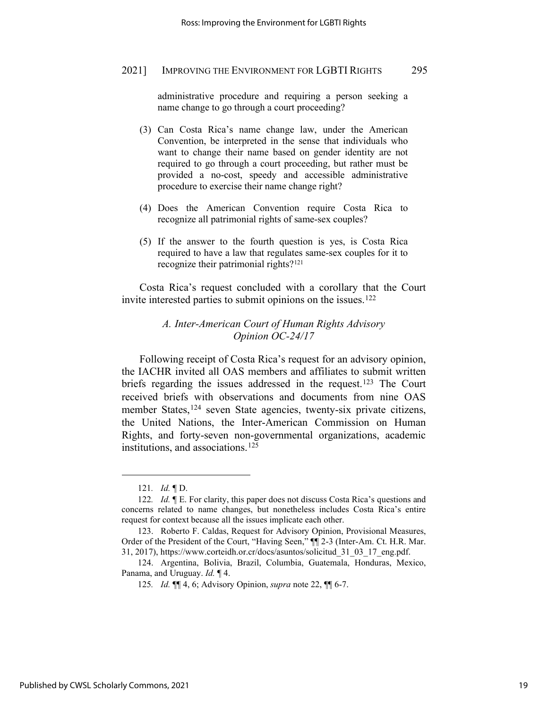administrative procedure and requiring a person seeking a name change to go through a court proceeding?

- (3) Can Costa Rica's name change law, under the American Convention, be interpreted in the sense that individuals who want to change their name based on gender identity are not required to go through a court proceeding, but rather must be provided a no-cost, speedy and accessible administrative procedure to exercise their name change right?
- (4) Does the American Convention require Costa Rica to recognize all patrimonial rights of same-sex couples?
- (5) If the answer to the fourth question is yes, is Costa Rica required to have a law that regulates same-sex couples for it to recognize their patrimonial rights?[121](#page-18-0)

Costa Rica's request concluded with a corollary that the Court invite interested parties to submit opinions on the issues.<sup>[122](#page-18-1)</sup>

# *A. Inter-American Court of Human Rights Advisory Opinion OC-24/17*

Following receipt of Costa Rica's request for an advisory opinion, the IACHR invited all OAS members and affiliates to submit written briefs regarding the issues addressed in the request[.123](#page-18-2) The Court received briefs with observations and documents from nine OAS member States,[124](#page-18-3) seven State agencies, twenty-six private citizens, the United Nations, the Inter-American Commission on Human Rights, and forty-seven non-governmental organizations, academic institutions, and associations.[125](#page-18-4)

<sup>121</sup>*. Id.* ¶ D.

<span id="page-18-1"></span><span id="page-18-0"></span><sup>122</sup>*. Id.* ¶ E. For clarity, this paper does not discuss Costa Rica's questions and concerns related to name changes, but nonetheless includes Costa Rica's entire request for context because all the issues implicate each other.

<span id="page-18-2"></span><sup>123.</sup> Roberto F. Caldas, Request for Advisory Opinion, Provisional Measures, Order of the President of the Court, "Having Seen," ¶¶ 2-3 (Inter-Am. Ct. H.R. Mar. 31, 2017), https://www.corteidh.or.cr/docs/asuntos/solicitud\_31\_03\_17\_eng.pdf.

<span id="page-18-4"></span><span id="page-18-3"></span><sup>124.</sup> Argentina, Bolivia, Brazil, Columbia, Guatemala, Honduras, Mexico, Panama, and Uruguay. *Id.* ¶ 4.

<sup>125</sup>*. Id.* ¶¶ 4, 6; Advisory Opinion, *supra* note 22, ¶¶ 6-7.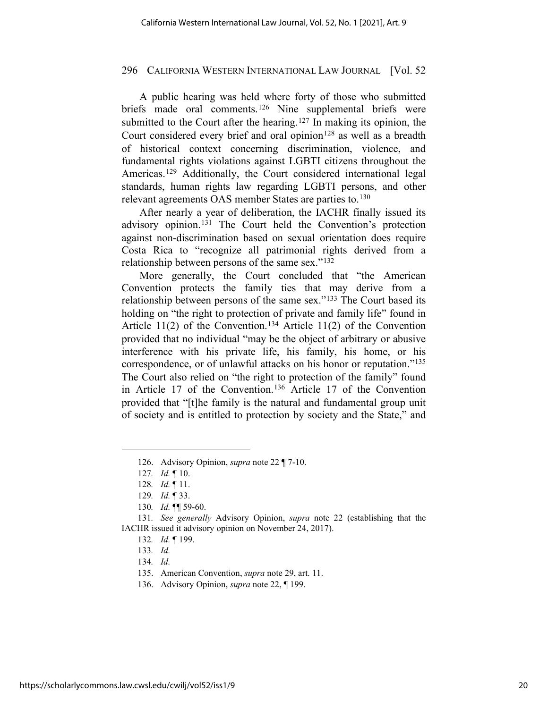A public hearing was held where forty of those who submitted briefs made oral comments.[126](#page-19-0) Nine supplemental briefs were submitted to the Court after the hearing.<sup>[127](#page-19-1)</sup> In making its opinion, the Court considered every brief and oral opinion<sup>[128](#page-19-2)</sup> as well as a breadth of historical context concerning discrimination, violence, and fundamental rights violations against LGBTI citizens throughout the Americas.<sup>[129](#page-19-3)</sup> Additionally, the Court considered international legal standards, human rights law regarding LGBTI persons, and other relevant agreements OAS member States are parties to.[130](#page-19-4)

After nearly a year of deliberation, the IACHR finally issued its advisory opinion.[131](#page-19-5) The Court held the Convention's protection against non-discrimination based on sexual orientation does require Costa Rica to "recognize all patrimonial rights derived from a relationship between persons of the same sex."[132](#page-19-6)

More generally, the Court concluded that "the American Convention protects the family ties that may derive from a relationship between persons of the same sex."[133](#page-19-7) The Court based its holding on "the right to protection of private and family life" found in Article 11(2) of the Convention.<sup>[134](#page-19-8)</sup> Article 11(2) of the Convention provided that no individual "may be the object of arbitrary or abusive interference with his private life, his family, his home, or his correspondence, or of unlawful attacks on his honor or reputation."[135](#page-19-9) The Court also relied on "the right to protection of the family" found in Article 17 of the Convention.[136](#page-19-10) Article 17 of the Convention provided that "[t]he family is the natural and fundamental group unit of society and is entitled to protection by society and the State," and

<sup>126.</sup> Advisory Opinion, *supra* note 22 ¶ 7-10.

<sup>127</sup>*. Id.* ¶ 10.

<sup>128</sup>*. Id.* ¶ 11.

<sup>129</sup>*. Id.* ¶ 33.

<sup>130</sup>*. Id.* ¶¶ 59-60.

<span id="page-19-9"></span><span id="page-19-8"></span><span id="page-19-7"></span><span id="page-19-6"></span><span id="page-19-5"></span><span id="page-19-4"></span><span id="page-19-3"></span><span id="page-19-2"></span><span id="page-19-1"></span><span id="page-19-0"></span><sup>131</sup>*. See generally* Advisory Opinion, *supra* note 22 (establishing that the IACHR issued it advisory opinion on November 24, 2017).

<sup>132</sup>*. Id.* ¶ 199.

<sup>133</sup>*. Id.*

<sup>134</sup>*. Id.*

<sup>135.</sup> American Convention, *supra* note 29, art. 11.

<span id="page-19-10"></span><sup>136.</sup> Advisory Opinion, *supra* note 22, ¶ 199.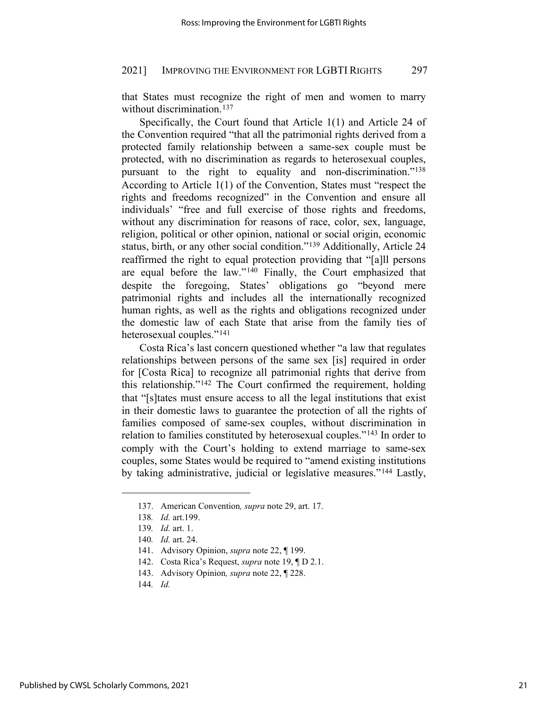that States must recognize the right of men and women to marry without discrimination.<sup>137</sup>

Specifically, the Court found that Article 1(1) and Article 24 of the Convention required "that all the patrimonial rights derived from a protected family relationship between a same-sex couple must be protected, with no discrimination as regards to heterosexual couples, pursuant to the right to equality and non-discrimination."[138](#page-20-1) According to Article 1(1) of the Convention, States must "respect the rights and freedoms recognized" in the Convention and ensure all individuals' "free and full exercise of those rights and freedoms, without any discrimination for reasons of race, color, sex, language, religion, political or other opinion, national or social origin, economic status, birth, or any other social condition."[139](#page-20-2) Additionally, Article 24 reaffirmed the right to equal protection providing that "[a]ll persons are equal before the law."[140](#page-20-3) Finally, the Court emphasized that despite the foregoing, States' obligations go "beyond mere patrimonial rights and includes all the internationally recognized human rights, as well as the rights and obligations recognized under the domestic law of each State that arise from the family ties of heterosexual couples."[141](#page-20-4)

Costa Rica's last concern questioned whether "a law that regulates relationships between persons of the same sex [is] required in order for [Costa Rica] to recognize all patrimonial rights that derive from this relationship."[142](#page-20-5) The Court confirmed the requirement, holding that "[s]tates must ensure access to all the legal institutions that exist in their domestic laws to guarantee the protection of all the rights of families composed of same-sex couples, without discrimination in relation to families constituted by heterosexual couples."[143](#page-20-6) In order to comply with the Court's holding to extend marriage to same-sex couples, some States would be required to "amend existing institutions by taking administrative, judicial or legislative measures."[144](#page-20-7) Lastly,

<span id="page-20-0"></span><sup>137.</sup> American Convention*, supra* note 29, art. 17.

<span id="page-20-1"></span><sup>138</sup>*. Id.* art.199.

<span id="page-20-3"></span><span id="page-20-2"></span><sup>139</sup>*. Id.* art. 1.

<sup>140</sup>*. Id.* art. 24.

<span id="page-20-4"></span><sup>141.</sup> Advisory Opinion, *supra* note 22, ¶ 199.

<span id="page-20-6"></span><span id="page-20-5"></span><sup>142.</sup> Costa Rica's Request, *supra* note 19, ¶ D 2.1.

<sup>143.</sup> Advisory Opinion*, supra* note 22, ¶ 228.

<span id="page-20-7"></span><sup>144</sup>*. Id.*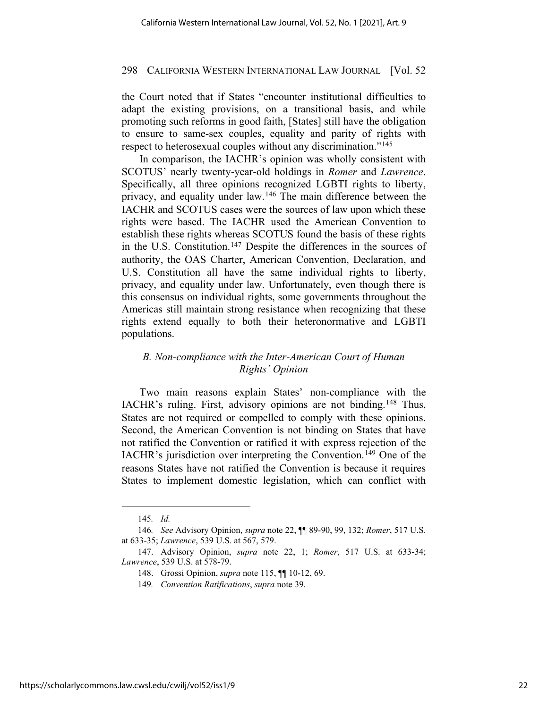the Court noted that if States "encounter institutional difficulties to adapt the existing provisions, on a transitional basis, and while promoting such reforms in good faith, [States] still have the obligation to ensure to same-sex couples, equality and parity of rights with respect to heterosexual couples without any discrimination."<sup>[145](#page-21-0)</sup>

In comparison, the IACHR's opinion was wholly consistent with SCOTUS' nearly twenty-year-old holdings in *Romer* and *Lawrence*. Specifically, all three opinions recognized LGBTI rights to liberty, privacy, and equality under law.[146](#page-21-1) The main difference between the IACHR and SCOTUS cases were the sources of law upon which these rights were based. The IACHR used the American Convention to establish these rights whereas SCOTUS found the basis of these rights in the U.S. Constitution.[147](#page-21-2) Despite the differences in the sources of authority, the OAS Charter, American Convention, Declaration, and U.S. Constitution all have the same individual rights to liberty, privacy, and equality under law. Unfortunately, even though there is this consensus on individual rights, some governments throughout the Americas still maintain strong resistance when recognizing that these rights extend equally to both their heteronormative and LGBTI populations.

# *B. Non-compliance with the Inter-American Court of Human Rights' Opinion*

Two main reasons explain States' non-compliance with the IACHR's ruling. First, advisory opinions are not binding.[148](#page-21-3) Thus, States are not required or compelled to comply with these opinions. Second, the American Convention is not binding on States that have not ratified the Convention or ratified it with express rejection of the IACHR's jurisdiction over interpreting the Convention.[149](#page-21-4) One of the reasons States have not ratified the Convention is because it requires States to implement domestic legislation, which can conflict with

<sup>145</sup>*. Id.*

<span id="page-21-1"></span><span id="page-21-0"></span><sup>146</sup>*. See* Advisory Opinion, *supra* note 22, ¶¶ 89-90, 99, 132; *Romer*, 517 U.S. at 633-35; *Lawrence*, 539 U.S. at 567, 579.

<span id="page-21-4"></span><span id="page-21-3"></span><span id="page-21-2"></span><sup>147.</sup> Advisory Opinion, *supra* note 22, 1; *Romer*, 517 U.S. at 633-34; *Lawrence*, 539 U.S. at 578-79.

<sup>148.</sup> Grossi Opinion, *supra* note 115, ¶¶ 10-12, 69.

<sup>149</sup>*. Convention Ratifications*, *supra* note 39.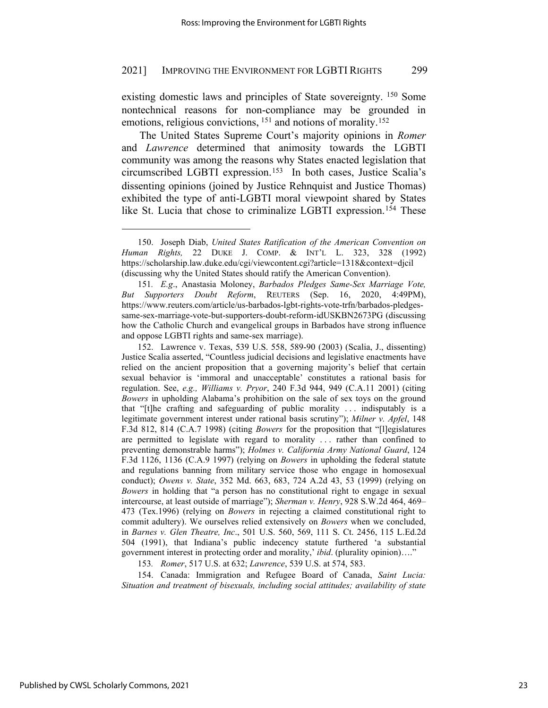existing domestic laws and principles of State sovereignty. [150](#page-22-0) Some nontechnical reasons for non-compliance may be grounded in emotions, religious convictions, <sup>[151](#page-22-1)</sup> and notions of morality.<sup>[152](#page-22-2)</sup>

The United States Supreme Court's majority opinions in *Romer*  and *Lawrence* determined that animosity towards the LGBTI community was among the reasons why States enacted legislation that circumscribed LGBTI expression.[153](#page-22-3) In both cases, Justice Scalia's dissenting opinions (joined by Justice Rehnquist and Justice Thomas) exhibited the type of anti-LGBTI moral viewpoint shared by States like St. Lucia that chose to criminalize LGBTI expression.<sup>[154](#page-22-4)</sup> These

153*. Romer*, 517 U.S. at 632; *Lawrence*, 539 U.S. at 574, 583.

<span id="page-22-4"></span><span id="page-22-3"></span>154. Canada: Immigration and Refugee Board of Canada, *Saint Lucia: Situation and treatment of bisexuals, including social attitudes; availability of state* 

<span id="page-22-0"></span><sup>150.</sup> Joseph Diab, *United States Ratification of the American Convention on Human Rights,* 22 DUKE J. COMP. & INT'L L. 323, 328 (1992) https://scholarship.law.duke.edu/cgi/viewcontent.cgi?article=1318&context=djcil (discussing why the United States should ratify the American Convention).

<span id="page-22-1"></span><sup>151</sup>*. E.g*., Anastasia Moloney, *Barbados Pledges Same-Sex Marriage Vote, But Supporters Doubt Reform*, REUTERS (Sep. 16, 2020, 4:49PM), https://www.reuters.com/article/us-barbados-lgbt-rights-vote-trfn/barbados-pledgessame-sex-marriage-vote-but-supporters-doubt-reform-idUSKBN2673PG (discussing how the Catholic Church and evangelical groups in Barbados have strong influence and oppose LGBTI rights and same-sex marriage).

<span id="page-22-2"></span><sup>152.</sup> Lawrence v. Texas, 539 U.S. 558, 589-90 (2003) (Scalia, J., dissenting) Justice Scalia asserted, "Countless judicial decisions and legislative enactments have relied on the ancient proposition that a governing majority's belief that certain sexual behavior is 'immoral and unacceptable' constitutes a rational basis for regulation. See, *e.g., Williams v. Pryor*, 240 F.3d 944, 949 (C.A.11 2001) (citing *Bowers* in upholding Alabama's prohibition on the sale of sex toys on the ground that "[t]he crafting and safeguarding of public morality . . . indisputably is a legitimate government interest under rational basis scrutiny"); *Milner v. Apfel*, 148 F.3d 812, 814 (C.A.7 1998) (citing *Bowers* for the proposition that "[l]egislatures are permitted to legislate with regard to morality . . . rather than confined to preventing demonstrable harms"); *Holmes v. California Army National Guard*, 124 F.3d 1126, 1136 (C.A.9 1997) (relying on *Bowers* in upholding the federal statute and regulations banning from military service those who engage in homosexual conduct); *Owens v. State*, 352 Md. 663, 683, 724 A.2d 43, 53 (1999) (relying on *Bowers* in holding that "a person has no constitutional right to engage in sexual intercourse, at least outside of marriage"); *Sherman v. Henry*, 928 S.W.2d 464, 469– 473 (Tex.1996) (relying on *Bowers* in rejecting a claimed constitutional right to commit adultery). We ourselves relied extensively on *Bowers* when we concluded, in *Barnes v. Glen Theatre, Inc*., 501 U.S. 560, 569, 111 S. Ct. 2456, 115 L.Ed.2d 504 (1991), that Indiana's public indecency statute furthered 'a substantial government interest in protecting order and morality,' *ibid*. (plurality opinion)…."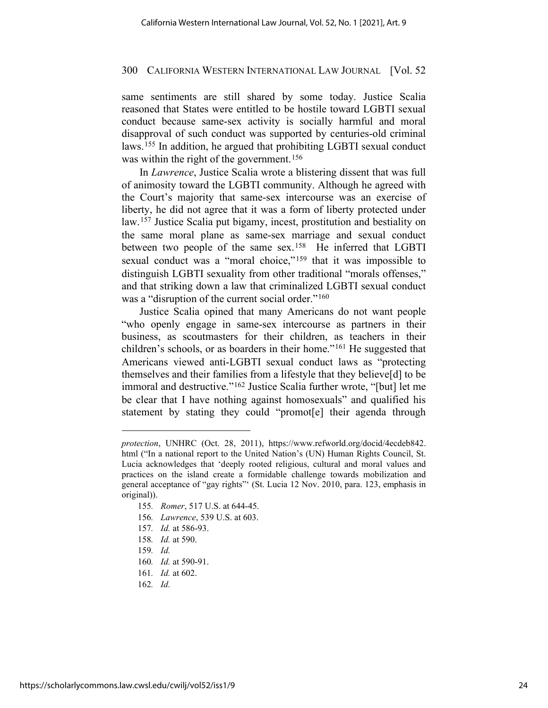same sentiments are still shared by some today. Justice Scalia reasoned that States were entitled to be hostile toward LGBTI sexual conduct because same-sex activity is socially harmful and moral disapproval of such conduct was supported by centuries-old criminal laws.[155](#page-23-0) In addition, he argued that prohibiting LGBTI sexual conduct was within the right of the government.<sup>[156](#page-23-1)</sup>

In *Lawrence*, Justice Scalia wrote a blistering dissent that was full of animosity toward the LGBTI community. Although he agreed with the Court's majority that same-sex intercourse was an exercise of liberty, he did not agree that it was a form of liberty protected under law.[157](#page-23-2) Justice Scalia put bigamy, incest, prostitution and bestiality on the same moral plane as same-sex marriage and sexual conduct between two people of the same sex.<sup>158</sup> He inferred that LGBTI sexual conduct was a "moral choice,"<sup>[159](#page-23-4)</sup> that it was impossible to distinguish LGBTI sexuality from other traditional "morals offenses," and that striking down a law that criminalized LGBTI sexual conduct was a "disruption of the current social order."<sup>160</sup>

Justice Scalia opined that many Americans do not want people "who openly engage in same-sex intercourse as partners in their business, as scoutmasters for their children, as teachers in their children's schools, or as boarders in their home."[161](#page-23-6) He suggested that Americans viewed anti-LGBTI sexual conduct laws as "protecting themselves and their families from a lifestyle that they believe[d] to be immoral and destructive."<sup>[162](#page-23-7)</sup> Justice Scalia further wrote, "[but] let me be clear that I have nothing against homosexuals" and qualified his statement by stating they could "promot[e] their agenda through

- <span id="page-23-1"></span>156*. Lawrence*, 539 U.S. at 603.
- <span id="page-23-3"></span><span id="page-23-2"></span>157*. Id.* at 586-93.
- 158*. Id.* at 590.
- <span id="page-23-5"></span><span id="page-23-4"></span>159*. Id.*
- 160*. Id.* at 590-91.
- <span id="page-23-6"></span>161*. Id.* at 602.
- <span id="page-23-7"></span>162*. Id.*

<span id="page-23-0"></span>*protection*, UNHRC (Oct. 28, 2011), https://www.refworld.org/docid/4ecdeb842. html ("In a national report to the United Nation's (UN) Human Rights Council, St. Lucia acknowledges that 'deeply rooted religious, cultural and moral values and practices on the island create a formidable challenge towards mobilization and general acceptance of "gay rights"' (St. Lucia 12 Nov. 2010, para. 123, emphasis in original)).

<sup>155</sup>*. Romer*, 517 U.S. at 644-45.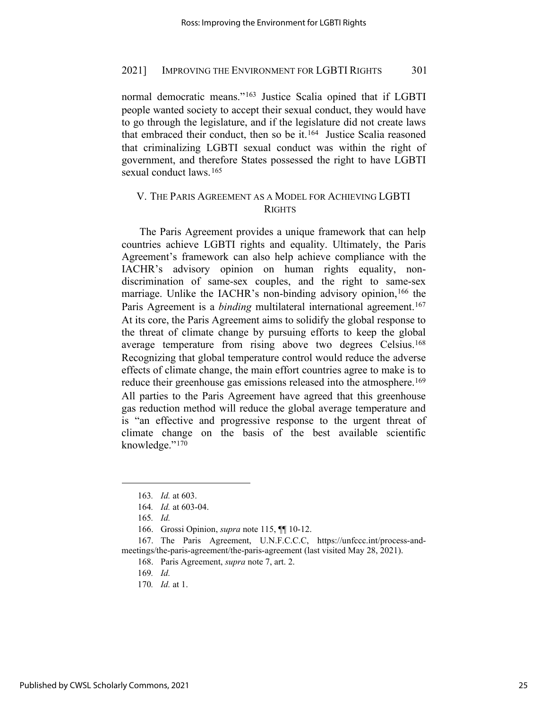normal democratic means."[163](#page-24-0) Justice Scalia opined that if LGBTI people wanted society to accept their sexual conduct, they would have to go through the legislature, and if the legislature did not create laws that embraced their conduct, then so be it.[164](#page-24-1) Justice Scalia reasoned that criminalizing LGBTI sexual conduct was within the right of government, and therefore States possessed the right to have LGBTI sexual conduct laws.<sup>[165](#page-24-2)</sup>

# V. THE PARIS AGREEMENT AS A MODEL FOR ACHIEVING LGBTI RIGHTS

The Paris Agreement provides a unique framework that can help countries achieve LGBTI rights and equality. Ultimately, the Paris Agreement's framework can also help achieve compliance with the IACHR's advisory opinion on human rights equality, nondiscrimination of same-sex couples, and the right to same-sex marriage. Unlike the IACHR's non-binding advisory opinion,<sup>[166](#page-24-3)</sup> the Paris Agreement is a *binding* multilateral international agreement.<sup>[167](#page-24-4)</sup> At its core, the Paris Agreement aims to solidify the global response to the threat of climate change by pursuing efforts to keep the global average temperature from rising above two degrees Celsius.<sup>168</sup> Recognizing that global temperature control would reduce the adverse effects of climate change, the main effort countries agree to make is to reduce their greenhouse gas emissions released into the atmosphere.<sup>[169](#page-24-6)</sup> All parties to the Paris Agreement have agreed that this greenhouse gas reduction method will reduce the global average temperature and is "an effective and progressive response to the urgent threat of climate change on the basis of the best available scientific knowledge."[170](#page-24-7) 

170*. Id.* at 1.

<sup>163</sup>*. Id.* at 603.

<sup>164</sup>*. Id.* at 603-04.

<sup>165</sup>*. Id.*

<sup>166.</sup> Grossi Opinion, *supra* note 115, ¶¶ 10-12.

<span id="page-24-7"></span><span id="page-24-6"></span><span id="page-24-5"></span><span id="page-24-4"></span><span id="page-24-3"></span><span id="page-24-2"></span><span id="page-24-1"></span><span id="page-24-0"></span><sup>167.</sup> The Paris Agreement, U.N.F.C.C.C, https://unfccc.int/process-andmeetings/the-paris-agreement/the-paris-agreement (last visited May 28, 2021).

<sup>168.</sup> Paris Agreement, *supra* note 7, art. 2.

<sup>169</sup>*. Id.*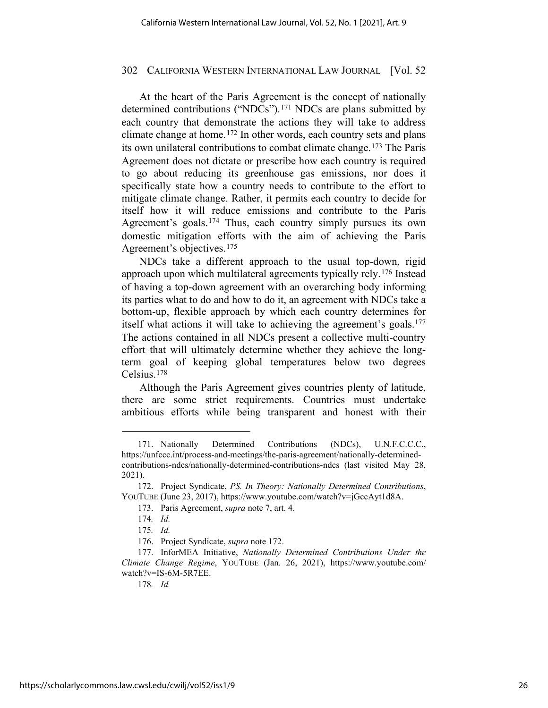At the heart of the Paris Agreement is the concept of nationally determined contributions ("NDCs").<sup>[171](#page-25-0)</sup> NDCs are plans submitted by each country that demonstrate the actions they will take to address climate change at home.[172](#page-25-1) In other words, each country sets and plans its own unilateral contributions to combat climate change.[173](#page-25-2) The Paris Agreement does not dictate or prescribe how each country is required to go about reducing its greenhouse gas emissions, nor does it specifically state how a country needs to contribute to the effort to mitigate climate change. Rather, it permits each country to decide for itself how it will reduce emissions and contribute to the Paris Agreement's goals.[174](#page-25-3) Thus, each country simply pursues its own domestic mitigation efforts with the aim of achieving the Paris Agreement's objectives.[175](#page-25-4)

NDCs take a different approach to the usual top-down, rigid approach upon which multilateral agreements typically rely.[176](#page-25-5) Instead of having a top-down agreement with an overarching body informing its parties what to do and how to do it, an agreement with NDCs take a bottom-up, flexible approach by which each country determines for itself what actions it will take to achieving the agreement's goals.<sup>[177](#page-25-6)</sup> The actions contained in all NDCs present a collective multi-country effort that will ultimately determine whether they achieve the longterm goal of keeping global temperatures below two degrees Celsius.[178](#page-25-7)

Although the Paris Agreement gives countries plenty of latitude, there are some strict requirements. Countries must undertake ambitious efforts while being transparent and honest with their

178*. Id.*

<span id="page-25-0"></span><sup>171.</sup> Nationally Determined Contributions (NDCs), U.N.F.C.C.C., https://unfccc.int/process-and-meetings/the-paris-agreement/nationally-determinedcontributions-ndcs/nationally-determined-contributions-ndcs (last visited May 28, 2021).

<span id="page-25-3"></span><span id="page-25-2"></span><span id="page-25-1"></span><sup>172.</sup> Project Syndicate, *PS. In Theory: Nationally Determined Contributions*, YOUTUBE (June 23, 2017), https://www.youtube.com/watch?v=jGccAyt1d8A.

<sup>173.</sup> Paris Agreement, *supra* note 7, art. 4.

<sup>174</sup>*. Id.*

<sup>175</sup>*. Id.*

<sup>176.</sup> Project Syndicate, *supra* note 172.

<span id="page-25-7"></span><span id="page-25-6"></span><span id="page-25-5"></span><span id="page-25-4"></span><sup>177.</sup> InforMEA Initiative, *Nationally Determined Contributions Under the Climate Change Regime*, YOUTUBE (Jan. 26, 2021), https://www.youtube.com/ watch?v=IS-6M-5R7EE.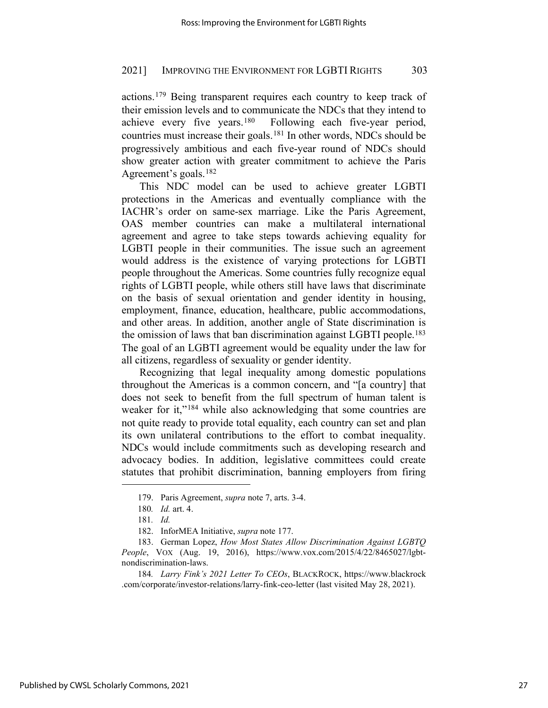actions.[179](#page-26-0) Being transparent requires each country to keep track of their emission levels and to communicate the NDCs that they intend to achieve every five years.[180](#page-26-1) Following each five-year period, countries must increase their goals.[181](#page-26-2) In other words, NDCs should be progressively ambitious and each five-year round of NDCs should show greater action with greater commitment to achieve the Paris Agreement's goals.[182](#page-26-3)

This NDC model can be used to achieve greater LGBTI protections in the Americas and eventually compliance with the IACHR's order on same-sex marriage. Like the Paris Agreement, OAS member countries can make a multilateral international agreement and agree to take steps towards achieving equality for LGBTI people in their communities. The issue such an agreement would address is the existence of varying protections for LGBTI people throughout the Americas. Some countries fully recognize equal rights of LGBTI people, while others still have laws that discriminate on the basis of sexual orientation and gender identity in housing, employment, finance, education, healthcare, public accommodations, and other areas. In addition, another angle of State discrimination is the omission of laws that ban discrimination against LGBTI people.[183](#page-26-4) The goal of an LGBTI agreement would be equality under the law for all citizens, regardless of sexuality or gender identity.

Recognizing that legal inequality among domestic populations throughout the Americas is a common concern, and "[a country] that does not seek to benefit from the full spectrum of human talent is weaker for it,"<sup>[184](#page-26-5)</sup> while also acknowledging that some countries are not quite ready to provide total equality, each country can set and plan its own unilateral contributions to the effort to combat inequality. NDCs would include commitments such as developing research and advocacy bodies. In addition, legislative committees could create statutes that prohibit discrimination, banning employers from firing

<sup>179.</sup> Paris Agreement, *supra* note 7, arts. 3-4.

<sup>180</sup>*. Id.* art. 4.

<sup>181</sup>*. Id.*

<sup>182.</sup> InforMEA Initiative, *supra* note 177.

<span id="page-26-4"></span><span id="page-26-3"></span><span id="page-26-2"></span><span id="page-26-1"></span><span id="page-26-0"></span><sup>183.</sup> German Lopez, *How Most States Allow Discrimination Against LGBTQ People*, VOX (Aug. 19, 2016), https://www.vox.com/2015/4/22/8465027/lgbtnondiscrimination-laws.

<span id="page-26-5"></span><sup>184</sup>*. Larry Fink's 2021 Letter To CEOs*, BLACKROCK, https://www.blackrock .com/corporate/investor-relations/larry-fink-ceo-letter (last visited May 28, 2021).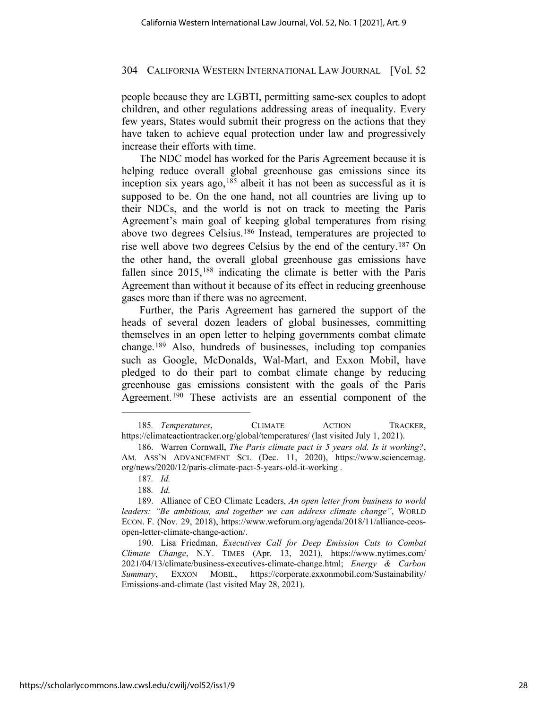people because they are LGBTI, permitting same-sex couples to adopt children, and other regulations addressing areas of inequality. Every few years, States would submit their progress on the actions that they have taken to achieve equal protection under law and progressively increase their efforts with time.

The NDC model has worked for the Paris Agreement because it is helping reduce overall global greenhouse gas emissions since its inception six years ago,  $185$  albeit it has not been as successful as it is supposed to be. On the one hand, not all countries are living up to their NDCs, and the world is not on track to meeting the Paris Agreement's main goal of keeping global temperatures from rising above two degrees Celsius.[186](#page-27-1) Instead, temperatures are projected to rise well above two degrees Celsius by the end of the century.[187](#page-27-2) On the other hand, the overall global greenhouse gas emissions have fallen since 2015,<sup>[188](#page-27-3)</sup> indicating the climate is better with the Paris Agreement than without it because of its effect in reducing greenhouse gases more than if there was no agreement.

Further, the Paris Agreement has garnered the support of the heads of several dozen leaders of global businesses, committing themselves in an open letter to helping governments combat climate change.[189](#page-27-4) Also, hundreds of businesses, including top companies such as Google, McDonalds, Wal-Mart, and Exxon Mobil, have pledged to do their part to combat climate change by reducing greenhouse gas emissions consistent with the goals of the Paris Agreement.[190](#page-27-5) These activists are an essential component of the

188*. Id.*

<span id="page-27-0"></span><sup>185</sup>*. Temperatures*, CLIMATE ACTION TRACKER, https://climateactiontracker.org/global/temperatures/ (last visited July 1, 2021).

<span id="page-27-1"></span><sup>186.</sup> Warren Cornwall, *The Paris climate pact is 5 years old. Is it working?*, AM. ASS'N ADVANCEMENT SCI. (Dec. 11, 2020), https://www.sciencemag. org/news/2020/12/paris-climate-pact-5-years-old-it-working .

<sup>187</sup>*. Id.*

<span id="page-27-4"></span><span id="page-27-3"></span><span id="page-27-2"></span><sup>189.</sup> Alliance of CEO Climate Leaders, *An open letter from business to world leaders: "Be ambitious, and together we can address climate change"*, WORLD ECON. F. (Nov. 29, 2018), https://www.weforum.org/agenda/2018/11/alliance-ceosopen-letter-climate-change-action/.

<span id="page-27-5"></span><sup>190.</sup> Lisa Friedman, *Executives Call for Deep Emission Cuts to Combat Climate Change*, N.Y. TIMES (Apr. 13, 2021), https://www.nytimes.com/ 2021/04/13/climate/business-executives-climate-change.html; *Energy & Carbon Summary*, EXXON MOBIL, https://corporate.exxonmobil.com/Sustainability/ Emissions-and-climate (last visited May 28, 2021).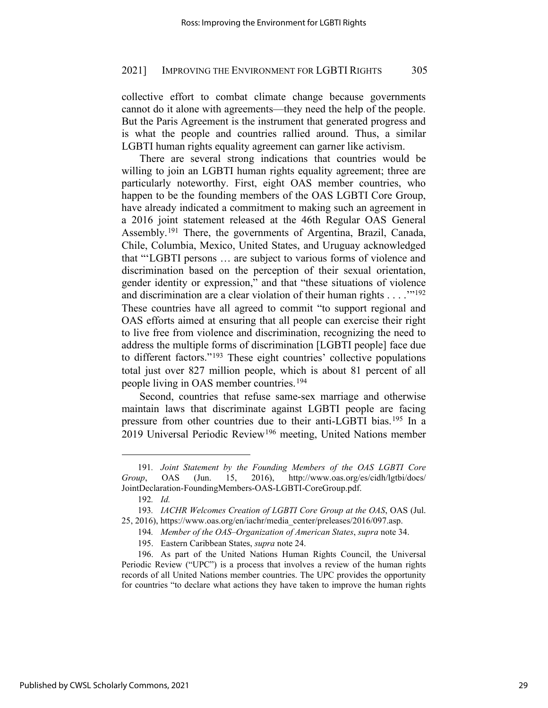collective effort to combat climate change because governments cannot do it alone with agreements—they need the help of the people. But the Paris Agreement is the instrument that generated progress and is what the people and countries rallied around. Thus, a similar LGBTI human rights equality agreement can garner like activism.

There are several strong indications that countries would be willing to join an LGBTI human rights equality agreement; three are particularly noteworthy. First, eight OAS member countries, who happen to be the founding members of the OAS LGBTI Core Group, have already indicated a commitment to making such an agreement in a 2016 joint statement released at the 46th Regular OAS General Assembly.[191](#page-28-0) There, the governments of Argentina, Brazil, Canada, Chile, Columbia, Mexico, United States, and Uruguay acknowledged that "'LGBTI persons … are subject to various forms of violence and discrimination based on the perception of their sexual orientation, gender identity or expression," and that "these situations of violence and discrimination are a clear violation of their human rights . . . .'"[192](#page-28-1) These countries have all agreed to commit "to support regional and OAS efforts aimed at ensuring that all people can exercise their right to live free from violence and discrimination, recognizing the need to address the multiple forms of discrimination [LGBTI people] face due to different factors."[193](#page-28-2) These eight countries' collective populations total just over 827 million people, which is about 81 percent of all people living in OAS member countries.[194](#page-28-3)

Second, countries that refuse same-sex marriage and otherwise maintain laws that discriminate against LGBTI people are facing pressure from other countries due to their anti-LGBTI bias.[195](#page-28-4) In a 2019 Universal Periodic Review[196](#page-28-5) meeting, United Nations member

<span id="page-28-0"></span><sup>191</sup>*. Joint Statement by the Founding Members of the OAS LGBTI Core Group*, OAS (Jun. 15, 2016), http://www.oas.org/es/cidh/lgtbi/docs/ JointDeclaration-FoundingMembers-OAS-LGBTI-CoreGroup.pdf.

<sup>192</sup>*. Id.*

<span id="page-28-3"></span><span id="page-28-2"></span><span id="page-28-1"></span><sup>193</sup>*. IACHR Welcomes Creation of LGBTI Core Group at the OAS*, OAS (Jul. 25, 2016), https://www.oas.org/en/iachr/media\_center/preleases/2016/097.asp.

<sup>194</sup>*. Member of the OAS–Organization of American States*, *supra* note 34.

<sup>195.</sup> Eastern Caribbean States, *supra* note 24.

<span id="page-28-5"></span><span id="page-28-4"></span><sup>196.</sup> As part of the United Nations Human Rights Council, the Universal Periodic Review ("UPC") is a process that involves a review of the human rights records of all United Nations member countries. The UPC provides the opportunity for countries "to declare what actions they have taken to improve the human rights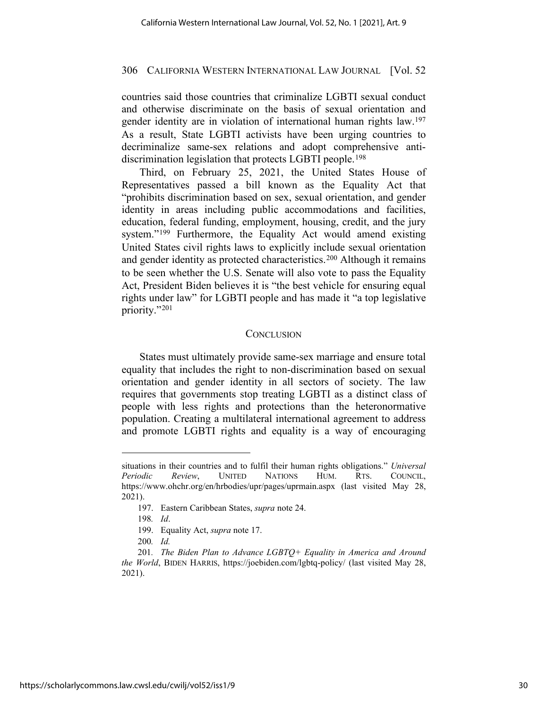countries said those countries that criminalize LGBTI sexual conduct and otherwise discriminate on the basis of sexual orientation and gender identity are in violation of international human rights law.[197](#page-29-0) As a result, State LGBTI activists have been urging countries to decriminalize same-sex relations and adopt comprehensive anti-discrimination legislation that protects LGBTI people.<sup>[198](#page-29-1)</sup>

Third, on February 25, 2021, the United States House of Representatives passed a bill known as the Equality Act that "prohibits discrimination based on sex, sexual orientation, and gender identity in areas including public accommodations and facilities, education, federal funding, employment, housing, credit, and the jury system."[199](#page-29-2) Furthermore, the Equality Act would amend existing United States civil rights laws to explicitly include sexual orientation and gender identity as protected characteristics.[200](#page-29-3) Although it remains to be seen whether the U.S. Senate will also vote to pass the Equality Act, President Biden believes it is "the best vehicle for ensuring equal rights under law" for LGBTI people and has made it "a top legislative priority."[201](#page-29-4)

# **CONCLUSION**

States must ultimately provide same-sex marriage and ensure total equality that includes the right to non-discrimination based on sexual orientation and gender identity in all sectors of society. The law requires that governments stop treating LGBTI as a distinct class of people with less rights and protections than the heteronormative population. Creating a multilateral international agreement to address and promote LGBTI rights and equality is a way of encouraging

<span id="page-29-0"></span>situations in their countries and to fulfil their human rights obligations." *Universal Periodic Review*, UNITED NATIONS HUM. RTS. COUNCIL, https://www.ohchr.org/en/hrbodies/upr/pages/uprmain.aspx (last visited May 28, 2021).

<sup>197.</sup> Eastern Caribbean States, *supra* note 24.

<sup>198</sup>*. Id*.

<sup>199.</sup> Equality Act, *supra* note 17.

<sup>200</sup>*. Id.*

<span id="page-29-4"></span><span id="page-29-3"></span><span id="page-29-2"></span><span id="page-29-1"></span><sup>201</sup>*. The Biden Plan to Advance LGBTQ+ Equality in America and Around the World*, BIDEN HARRIS, https://joebiden.com/lgbtq-policy/ (last visited May 28, 2021).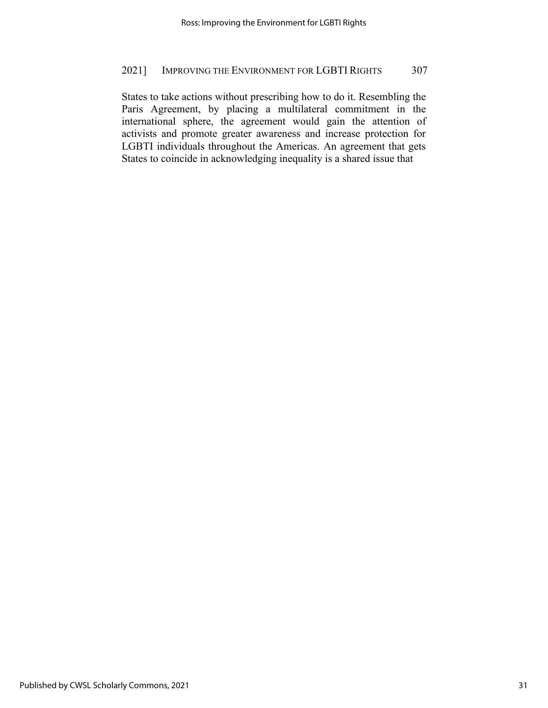States to take actions without prescribing how to do it. Resembling the Paris Agreement, by placing a multilateral commitment in the international sphere, the agreement would gain the attention of activists and promote greater awareness and increase protection for LGBTI individuals throughout the Americas. An agreement that gets States to coincide in acknowledging inequality is a shared issue that